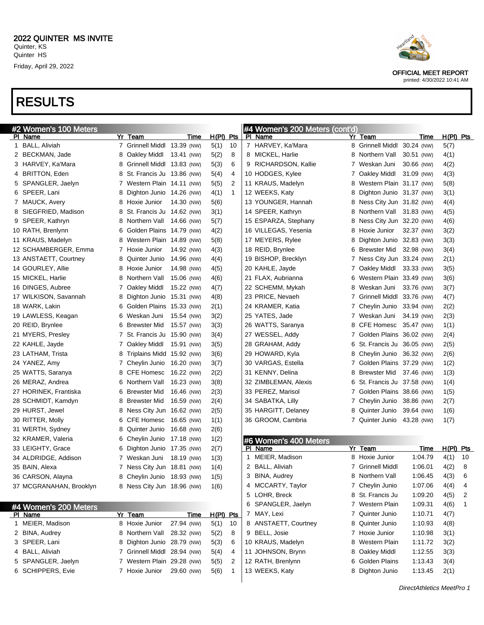

OFFICIAL MEET REPORT printed: 4/30/2022 10:41 AM

### RESULTS

| #2 Women's 100 Meters   |   |                             |            |             |              |   | #4 Women's 200 Meters (cont'd) |   |                             |                           |             |    |
|-------------------------|---|-----------------------------|------------|-------------|--------------|---|--------------------------------|---|-----------------------------|---------------------------|-------------|----|
| PI Name                 |   | Yr Team                     | Time       | $H(PI)$ Pts |              |   | PI Name                        |   | Yr Team                     | Time                      | $H(PI)$ Pts |    |
| 1 BALL, Aliviah         |   | 7 Grinnell Middl 13.39 (NW) |            | 5(1)        | 10           |   | 7 HARVEY, Ka'Mara              |   | 8 Grinnell Middl 30.24 (NW) |                           | 5(7)        |    |
| 2 BECKMAN, Jade         |   | 8 Oakley Middl 13.41 (NW)   |            | 5(2)        | 8            |   | 8 MICKEL, Harlie               |   | 8 Northern Vall             | 30.51 (NW)                | 4(1)        |    |
| 3 HARVEY, Ka'Mara       |   | 8 Grinnell Middl 13.83 (NW) |            | 5(3)        | 6            |   | 9 RICHARDSON, Kallie           |   | 7 Weskan Juni               | 30.66 (NW)                | 4(2)        |    |
| 4 BRITTON, Eden         |   | 8 St. Francis Ju 13.86 (NW) |            | 5(4)        | 4            |   | 10 HODGES, Kylee               |   | 7 Oakley Middl              | 31.09 (NW)                | 4(3)        |    |
| 5 SPANGLER, Jaelyn      |   | 7 Western Plain 14.11 (NW)  |            | 5(5)        | 2            |   | 11 KRAUS, Madelyn              |   | 8 Western Plain 31.17 (NW)  |                           | 5(8)        |    |
| 6 SPEER, Lani           | 8 | Dighton Junio 14.26 (NW)    |            | 4(1)        | $\mathbf{1}$ |   | 12 WEEKS, Katy                 | 8 | Dighton Junio 31.37 (NW)    |                           | 3(1)        |    |
| 7 MAUCK, Avery          |   | 8 Hoxie Junior              | 14.30 (NW) | 5(6)        |              |   | 13 YOUNGER, Hannah             |   | 8 Ness City Jun 31.82 (NW)  |                           | 4(4)        |    |
| 8 SIEGFRIED, Madison    |   | 8 St. Francis Ju 14.62 (NW) |            | 3(1)        |              |   | 14 SPEER, Kathryn              |   | 8 Northern Vall 31.83 (NW)  |                           | 4(5)        |    |
| 9 SPEER, Kathryn        |   | 8 Northern Vall 14.66 (NW)  |            | 5(7)        |              |   | 15 ESPARZA, Stephany           |   | 8 Ness City Jun 32.20 (NW)  |                           | 4(6)        |    |
| 10 RATH, Brenlynn       |   | 6 Golden Plains 14.79 (NW)  |            | 4(2)        |              |   | 16 VILLEGAS, Yesenia           |   | 8 Hoxie Junior              | 32.37 (NW)                | 3(2)        |    |
| 11 KRAUS, Madelyn       |   | 8 Western Plain 14.89 (NW)  |            | 5(8)        |              |   | 17 MEYERS, Rylee               | 8 | Dighton Junio 32.83 (NW)    |                           | 3(3)        |    |
| 12 SCHAMBERGER, Emma    |   | 7 Hoxie Junior              | 14.92 (NW) | 4(3)        |              |   | 18 REID, Brynlee               |   | 6 Brewster Mid 32.98 (NW)   |                           | 3(4)        |    |
| 13 ANSTAETT, Courtney   |   | 8 Quinter Junio             | 14.96 (NW) | 4(4)        |              |   | 19 BISHOP, Brecklyn            |   | 7 Ness City Jun 33.24 (NW)  |                           | 2(1)        |    |
| 14 GOURLEY, Allie       |   | 8 Hoxie Junior              | 14.98 (NW) | 4(5)        |              |   | 20 KAHLE, Jayde                |   | 7 Oakley Middl              | 33.33 (NW)                | 3(5)        |    |
| 15 MICKEL, Harlie       |   | 8 Northern Vall             | 15.06 (NW) | 4(6)        |              |   | 21 FLAX, Aubrianna             |   | 6 Western Plain 33.49 (NW)  |                           | 3(6)        |    |
| 16 DINGES, Aubree       |   | 7 Oakley Middl              | 15.22 (NW) | 4(7)        |              |   | 22 SCHEMM, Mykah               |   | 8 Weskan Juni               | 33.76 (NW)                | 3(7)        |    |
| 17 WILKISON, Savannah   |   | 8 Dighton Junio 15.31 (NW)  |            | 4(8)        |              |   | 23 PRICE, Nevaeh               |   | 7 Grinnell Middl 33.76 (NW) |                           | 4(7)        |    |
| 18 WARK, Lakin          |   | 6 Golden Plains 15.33 (NW)  |            | 2(1)        |              |   | 24 KRAMER, Katia               |   | 7 Cheylin Junio 33.94 (NW)  |                           | 2(2)        |    |
| 19 LAWLESS, Keagan      |   | 6 Weskan Juni               | 15.54 (NW) | 3(2)        |              |   | 25 YATES, Jade                 |   | 7 Weskan Juni               | 34.19 (NW)                | 2(3)        |    |
| 20 REID, Brynlee        |   | 6 Brewster Mid              | 15.57 (NW) | 3(3)        |              |   | 26 WATTS, Saranya              |   | 8 CFE Homesc 35.47 (NW)     |                           | 1(1)        |    |
| 21 MYERS, Presley       |   | 7 St. Francis Ju 15.90 (NW) |            | 3(4)        |              |   | 27 WESSEL, Addy                |   | 7 Golden Plains 36.02 (NW)  |                           | 2(4)        |    |
| 22 KAHLE, Jayde         |   | 7 Oakley Middl 15.91 (NW)   |            | 3(5)        |              |   | 28 GRAHAM, Addy                |   | 6 St. Francis Ju 36.05 (NW) |                           | 2(5)        |    |
| 23 LATHAM, Trista       |   | 8 Triplains Midd 15.92 (NW) |            | 3(6)        |              |   | 29 HOWARD, Kyla                |   | 8 Cheylin Junio 36.32 (NW)  |                           | 2(6)        |    |
| 24 YANEZ, Amy           |   | 7 Cheylin Junio 16.20 (NW)  |            | 3(7)        |              |   | 30 VARGAS, Estella             |   | 7 Golden Plains 37.29 (NW)  |                           | 1(2)        |    |
| 25 WATTS, Saranya       |   | 8 CFE Homesc 16.22 (NW)     |            | 2(2)        |              |   | 31 KENNY, Delina               | 8 | Brewster Mid 37.46 (NW)     |                           | 1(3)        |    |
| 26 MERAZ, Andrea        |   | 6 Northern Vall             | 16.23 (NW) | 3(8)        |              |   | 32 ZIMBLEMAN, Alexis           |   | 6 St. Francis Ju 37.58 (NW) |                           | 1(4)        |    |
| 27 HORINEK, Frantiska   |   | 6 Brewster Mid              | 16.46 (NW) | 2(3)        |              |   | 33 PEREZ, Marisol              |   | 7 Golden Plains 38.66 (NW)  |                           | 1(5)        |    |
| 28 SCHMIDT, Kamdyn      | 8 | <b>Brewster Mid</b>         | 16.59 (NW) | 2(4)        |              |   | 34 SABATKA, Lilly              |   | 7 Cheylin Junio 38.86 (NW)  |                           | 2(7)        |    |
| 29 HURST, Jewel         |   | 8 Ness City Jun 16.62 (NW)  |            | 2(5)        |              |   | 35 HARGITT, Delaney            |   | 8 Quinter Junio 39.64 (NW)  |                           | 1(6)        |    |
| 30 RITTER, Molly        |   | 6 CFE Homesc 16.65 (NW)     |            | 1(1)        |              |   | 36 GROOM, Cambria              |   | 7 Quinter Junio 43.28 (NW)  |                           | 1(7)        |    |
| 31 WERTH, Sydney        | 8 | Quinter Junio               | 16.68 (NW) | 2(6)        |              |   |                                |   |                             |                           |             |    |
| 32 KRAMER, Valeria      |   | 6 Cheylin Junio 17.18 (NW)  |            | 1(2)        |              |   | #6 Women's 400 Meters          |   |                             |                           |             |    |
| 33 LEIGHTY, Grace       |   | 6 Dighton Junio 17.35 (NW)  |            | 2(7)        |              |   | PI Name                        |   | Yr Team                     | Time                      | $H(PI)$ Pts |    |
| 34 ALDRIDGE, Addison    |   | 7 Weskan Juni               | 18.19 (NW) | 1(3)        |              |   | 1 MEIER, Madison               |   | 8 Hoxie Junior              | 1:04.79                   | 4(1)        | 10 |
| 35 BAIN, Alexa          |   | 7 Ness City Jun 18.81 (NW)  |            | 1(4)        |              |   | 2 BALL, Aliviah                |   | 7 Grinnell Middl            | 1:06.01                   | 4(2)        | 8  |
| 36 CARSON, Alayna       | 8 | Cheylin Junio 18.93 (NW)    |            | 1(5)        |              |   | 3 BINA, Audrey                 |   | 8 Northern Vall             | 1:06.45                   | 4(3)        | 6  |
| 37 MCGRANAHAN, Brooklyn |   | 8 Ness City Jun 18.96 (NW)  |            | 1(6)        |              |   | 4 MCCARTY, Taylor              |   | 7 Cheylin Junio             | 1:07.06                   | 4(4)        | 4  |
|                         |   |                             |            |             |              |   | 5 LOHR, Breck                  |   | 8 St. Francis Ju            | 1:09.20                   | 4(5)        | 2  |
| #4 Women's 200 Meters   |   |                             |            |             |              | 6 | SPANGLER, Jaelyn               |   | 7 Western Plain             | 1:09.31                   | 4(6)        | 1  |
| PI Name                 |   | Yr Team                     | Time       | $H(PI)$ Pts |              |   | 7 MAY, Lexi                    |   | 7 Quinter Junio             | 1:10.71                   | 4(7)        |    |
| 1 MEIER, Madison        |   | 8 Hoxie Junior              | 27.94 (NW) | 5(1)        | 10           |   | 8 ANSTAETT, Courtney           |   | 8 Quinter Junio             | 1:10.93                   | 4(8)        |    |
| 2 BINA, Audrey          |   | 8 Northern Vall             | 28.32 (NW) | 5(2)        | 8            |   | 9 BELL, Josie                  |   | 7 Hoxie Junior              | 1:10.98                   | 3(1)        |    |
| 3 SPEER, Lani           | 8 | Dighton Junio 28.79 (NW)    |            | 5(3)        | 6            |   | 10 KRAUS, Madelyn              |   | 8 Western Plain             | 1:11.72                   | 3(2)        |    |
| 4 BALL, Aliviah         |   | 7 Grinnell Middl            | 28.94 (NW) | 5(4)        | 4            |   | 11 JOHNSON, Brynn              |   | 8 Oakley Middl              | 1:12.55                   | 3(3)        |    |
| 5 SPANGLER, Jaelyn      |   | 7 Western Plain 29.28 (NW)  |            | 5(5)        | 2            |   | 12 RATH, Brenlynn              |   | 6 Golden Plains             | 1:13.43                   | 3(4)        |    |
| 6 SCHIPPERS, Evie       |   | 7 Hoxie Junior              | 29.60 (NW) | 5(6)        | $\mathbf{1}$ |   | 13 WEEKS, Katy                 |   | 8 Dighton Junio             | 1:13.45                   | 2(1)        |    |
|                         |   |                             |            |             |              |   |                                |   |                             | DirectAthletics MeetPro 1 |             |    |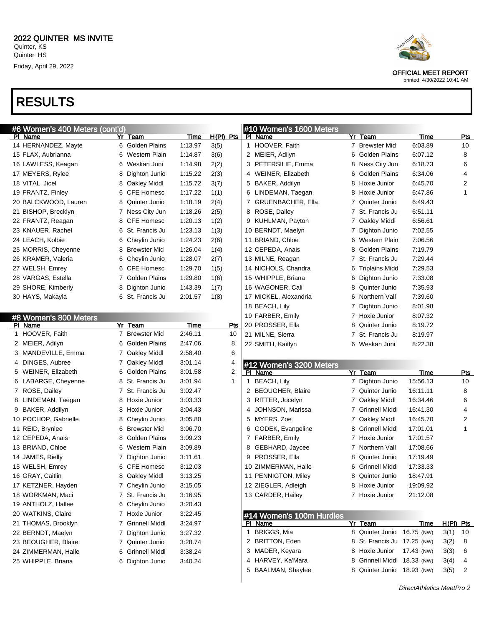# RESULTS

| #6 Women's 400 Meters (cont'd) |                          |         |             | #10 Women's 1600 Meters  |                             |             |                |
|--------------------------------|--------------------------|---------|-------------|--------------------------|-----------------------------|-------------|----------------|
| PI Name                        | Yr Team                  | Time    | $H(PI)$ Pts | PI Name                  | Yr Team                     | Time        | <b>Pts</b>     |
| 14 HERNANDEZ, Mayte            | 6 Golden Plains          | 1:13.97 | 3(5)        | 1 HOOVER, Faith          | 7 Brewster Mid              | 6:03.89     | 10             |
| 15 FLAX, Aubrianna             | Western Plain<br>6       | 1:14.87 | 3(6)        | 2 MEIER, Adilyn          | <b>Golden Plains</b><br>6   | 6:07.12     | 8              |
| 16 LAWLESS, Keagan             | Weskan Juni<br>6         | 1:14.98 | 2(2)        | 3 PETERSILIE, Emma       | Ness City Jun<br>8          | 6:18.73     | 6              |
| 17 MEYERS, Rylee               | 8<br>Dighton Junio       | 1:15.22 | 2(3)        | 4 WEINER, Elizabeth      | Golden Plains<br>6          | 6:34.06     | 4              |
| 18 VITAL, Jicel                | 8<br>Oakley Middl        | 1:15.72 | 3(7)        | 5 BAKER, Addilyn         | Hoxie Junior<br>8           | 6:45.70     | 2              |
| 19 FRANTZ, Finley              | <b>CFE Homesc</b><br>6   | 1:17.22 | 1(1)        | 6 LINDEMAN, Taegan       | Hoxie Junior<br>8           | 6:47.86     | 1              |
| 20 BALCKWOOD, Lauren           | Quinter Junio<br>8       | 1:18.19 | 2(4)        | 7 GRUENBACHER, Ella      | Quinter Junio               | 6:49.43     |                |
| 21 BISHOP, Brecklyn            | 7 Ness City Jun          | 1:18.26 | 2(5)        | 8 ROSE, Dailey           | St. Francis Ju<br>7         | 6:51.11     |                |
| 22 FRANTZ, Reagan              | 8 CFE Homesc             | 1:20.13 | 1(2)        | 9 KUHLMAN, Payton        | Oakley Middl<br>7           | 6:56.61     |                |
| 23 KNAUER, Rachel              | St. Francis Ju<br>6      | 1:23.13 | 1(3)        | 10 BERNDT, Maelyn        | Dighton Junio<br>7          | 7:02.55     |                |
| 24 LEACH, Kolbie               | 6<br>Cheylin Junio       | 1:24.23 | 2(6)        | 11 BRIAND, Chloe         | Western Plain<br>6          | 7:06.56     |                |
| 25 MORRIS, Cheyenne            | <b>Brewster Mid</b><br>8 | 1:26.04 | 1(4)        | 12 CEPEDA, Anais         | Golden Plains<br>8          | 7:19.79     |                |
| 26 KRAMER, Valeria             | 6<br>Cheylin Junio       | 1:28.07 | 2(7)        | 13 MILNE, Reagan         | St. Francis Ju              | 7:29.44     |                |
| 27 WELSH, Emrey                | <b>CFE Homesc</b><br>6   | 1:29.70 | 1(5)        | 14 NICHOLS, Chandra      | <b>Triplains Midd</b><br>6  | 7:29.53     |                |
| 28 VARGAS, Estella             | 7 Golden Plains          | 1:29.80 | 1(6)        | 15 WHIPPLE, Briana       | Dighton Junio<br>6          | 7:33.08     |                |
| 29 SHORE, Kimberly             | 8<br>Dighton Junio       | 1:43.39 | 1(7)        | 16 WAGONER, Cali         | 8<br>Quinter Junio          | 7:35.93     |                |
| 30 HAYS, Makayla               | 6 St. Francis Ju         | 2:01.57 | 1(8)        | 17 MICKEL, Alexandria    | Northern Vall<br>6          | 7:39.60     |                |
|                                |                          |         |             | 18 BEACH, Lily           | Dighton Junio               | 8:01.98     |                |
| #8 Women's 800 Meters          |                          |         |             | 19 FARBER, Emily         | Hoxie Junior                | 8:07.32     |                |
| PI Name                        | Yr Team                  | Time    | <u>Pts</u>  | 20 PROSSER, Ella         | 8<br>Quinter Junio          | 8:19.72     |                |
| 1 HOOVER, Faith                | 7 Brewster Mid           | 2:46.11 | 10          | 21 MILNE, Sierra         | St. Francis Ju<br>7         | 8:19.97     |                |
| 2 MEIER, Adilyn                | 6 Golden Plains          | 2:47.06 | 8           | 22 SMITH, Kaitlyn        | 6<br>Weskan Juni            | 8:22.38     |                |
| 3 MANDEVILLE, Emma             | 7 Oakley Middl           | 2:58.40 | 6           |                          |                             |             |                |
| 4 DINGES, Aubree               | 7 Oakley Middl           | 3:01.14 | 4           | #12 Women's 3200 Meters  |                             |             |                |
| 5 WEINER, Elizabeth            | 6 Golden Plains          | 3:01.58 | 2           | PI Name                  | Yr Team                     | <b>Time</b> | <u>Pts</u>     |
| 6 LABARGE, Cheyenne            | 8 St. Francis Ju         | 3:01.94 | 1           | <b>BEACH, Lily</b><br>1  | 7 Dighton Junio             | 15:56.13    | 10             |
| 7 ROSE, Dailey                 | 7 St. Francis Ju         | 3:02.47 |             | 2 BEOUGHER, Blaire       | 7 Quinter Junio             | 16:11.11    | 8              |
| 8 LINDEMAN, Taegan             | 8 Hoxie Junior           | 3:03.33 |             | 3 RITTER, Jocelyn        | 7 Oakley Middl              | 16:34.46    | 6              |
| 9 BAKER, Addilyn               | 8 Hoxie Junior           | 3:04.43 |             | JOHNSON, Marissa<br>4    | 7 Grinnell Middl            | 16:41.30    | 4              |
| 10 POCHOP, Gabrielle           | 8 Cheylin Junio          | 3:05.80 |             | 5 MYERS, Zoe             | 7 Oakley Middl              | 16:45.70    | $\overline{c}$ |
| 11 REID, Brynlee               | 6 Brewster Mid           | 3:06.70 |             | 6 GODEK, Evangeline      | <b>Grinnell Middl</b><br>8  | 17:01.01    | 1              |
| 12 CEPEDA, Anais               | 8 Golden Plains          | 3:09.23 |             | 7 FARBER, Emily          | Hoxie Junior<br>7           | 17:01.57    |                |
| 13 BRIAND, Chloe               | 6 Western Plain          | 3:09.89 |             | GEBHARD, Jaycee<br>8     | Northern Vall<br>7          | 17:08.66    |                |
| 14 JAMES, Rielly               | 7 Dighton Junio          | 3:11.61 |             | PROSSER, Ella<br>9       | Quinter Junio<br>8          | 17:19.49    |                |
| 15 WELSH, Emrey                | 6 CFE Homesc             | 3:12.03 |             | 10 ZIMMERMAN, Halle      | Grinnell Middl<br>6         | 17:33.33    |                |
| 16 GRAY, Caitlin               | 8 Oakley Middl           | 3:13.25 |             | 11 PENNIGTON, Miley      | 8 Quinter Junio             | 18:47.91    |                |
| 17 KETZNER, Hayden             | 7 Cheylin Junio          | 3:15.05 |             | 12 ZIEGLER, Adleigh      | 8 Hoxie Junior              | 19:09.92    |                |
| 18 WORKMAN, Maci               | 7 St. Francis Ju         | 3:16.95 |             | 13 CARDER, Hailey        | 7 Hoxie Junior              | 21:12.08    |                |
| 19 ANTHOLZ, Hallee             | 6 Cheylin Junio          | 3:20.43 |             |                          |                             |             |                |
| 20 WATKINS, Claire             | 7 Hoxie Junior           | 3:22.45 |             | #14 Women's 100m Hurdles |                             |             |                |
| 21 THOMAS, Brooklyn            | 7 Grinnell Middl         | 3:24.97 |             | PI Name                  | Yr Team                     | Time        | H(PI) Pts      |
| 22 BERNDT, Maelyn              | 7 Dighton Junio          | 3:27.32 |             | 1 BRIGGS, Mia            | 8 Quinter Junio 16.75 (NW)  |             | 3(1)<br>10     |
| 23 BEOUGHER, Blaire            | 7 Quinter Junio          | 3:28.74 |             | 2 BRITTON, Eden          | 8 St. Francis Ju 17.25 (NW) |             | 3(2)<br>8      |
| 24 ZIMMERMAN, Halle            | 6 Grinnell Middl         | 3:38.24 |             | 3 MADER, Keyara          | 8 Hoxie Junior              | 17.43 (NW)  | 6<br>3(3)      |
| 25 WHIPPLE, Briana             | 6 Dighton Junio          | 3:40.24 |             | 4 HARVEY, Ka'Mara        | 8 Grinnell Middl 18.33 (NW) |             | 3(4)<br>4      |
|                                |                          |         |             | 5 BAALMAN, Shaylee       | 8 Quinter Junio 18.93 (NW)  |             | 3(5)<br>2      |
|                                |                          |         |             |                          |                             |             |                |



OFFICIAL MEET REPORT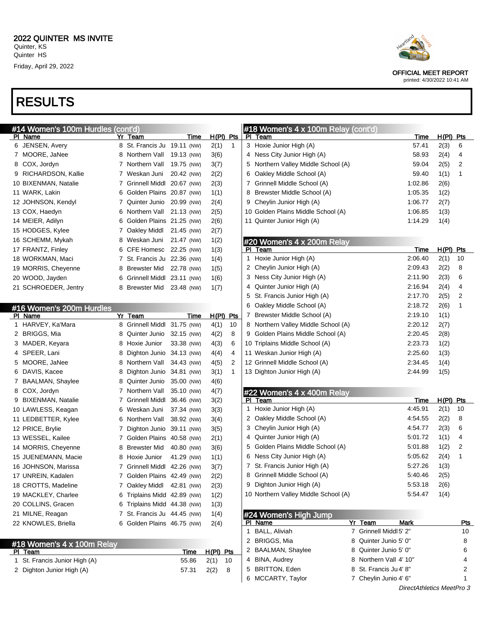# RESULTS

|   | #14 Women's 100m Hurdles (cont'd) |                |                             |             |             |            |
|---|-----------------------------------|----------------|-----------------------------|-------------|-------------|------------|
|   | PI Name                           |                | Yr Team                     | <u>Time</u> | $H(PI)$ Pts |            |
| 6 | JENSEN, Avery                     | 8              | St. Francis Ju              | 19.11 (NW)  | 2(1)        | 1          |
| 7 | MOORE, JaNee                      |                | 8 Northern Vall             | 19.13 (NW)  | 3(6)        |            |
| 8 | COX, Jordyn                       |                | 7 Northern Vall             | 19.75 (NW)  | 3(7)        |            |
|   | 9 RICHARDSON, Kallie              |                | 7 Weskan Juni               | 20.42 (NW)  | 2(2)        |            |
|   | 10 BIXENMAN, Natalie              | $\overline{7}$ | <b>Grinnell Middl</b>       | 20.67 (NW)  | 2(3)        |            |
|   | 11 WARK, Lakin                    |                | 6 Golden Plains             | 20.87 (NW)  | 1(1)        |            |
|   | 12 JOHNSON, Kendyl                |                | 7 Quinter Junio             | 20.99 (NW)  | 2(4)        |            |
|   | 13 COX, Haedyn                    |                | 6 Northern Vall             | 21.13 (NW)  | 2(5)        |            |
|   | 14 MEIER, Adilyn                  |                | 6 Golden Plains             | 21.25 (NW)  | 2(6)        |            |
|   | 15 HODGES, Kylee                  |                | 7 Oakley Middl              | 21.45 (NW)  | 2(7)        |            |
|   | 16 SCHEMM, Mykah                  |                | 8 Weskan Juni               | 21.47 (NW)  | 1(2)        |            |
|   | 17 FRANTZ, Finley                 |                | 6 CFE Homesc                | 22.25 (NW)  | 1(3)        |            |
|   | 18 WORKMAN, Maci                  |                | 7 St. Francis Ju 22.36 (NW) |             | 1(4)        |            |
|   | 19 MORRIS, Cheyenne               |                | 8 Brewster Mid              | 22.78 (NW)  | 1(5)        |            |
|   | 20 WOOD, Jayden                   |                | 6 Grinnell Middl            | 23.11 (NW)  | 1(6)        |            |
|   | 21 SCHROEDER, Jentry              |                | 8 Brewster Mid              | 23.48 (NW)  | 1(7)        |            |
|   |                                   |                |                             |             |             |            |
|   | #16 Women's 200m Hurdles          |                |                             |             |             |            |
|   | PI Name                           |                | Yr Team                     | Time        | H(PI)       | <b>Pts</b> |
| 1 | HARVEY, Ka'Mara                   | 8              | <b>Grinnell Middl</b>       | 31.75 (NW)  | 4(1)        | 10         |
| 2 | <b>BRIGGS, Mia</b>                |                | 8 Quinter Junio             | 32.15 (NW)  | 4(2)        | 8          |
| 3 | MADER, Keyara                     |                | 8 Hoxie Junior              | 33.38 (NW)  | 4(3)        | 6          |
| 4 | SPEER, Lani                       |                | 8 Dighton Junio             | 34.13 (NW)  | 4(4)        | 4          |
| 5 | MOORE, JaNee                      |                | 8 Northern Vall             | 34.43 (NW)  | 4(5)        | 2          |
| 6 | DAVIS, Kacee                      |                | 8 Dighton Junio             | 34.81 (NW)  | 3(1)        | 1          |
| 7 | <b>BAALMAN, Shaylee</b>           |                | 8 Quinter Junio             | 35.00 (NW)  | 4(6)        |            |
| 8 | COX, Jordyn                       |                | 7 Northern Vall             | 35.10 (NW)  | 4(7)        |            |
| 9 | <b>BIXENMAN, Natalie</b>          |                | 7 Grinnell Middl            | 36.46 (NW)  | 3(2)        |            |
|   | 10 LAWLESS, Keagan                |                | 6 Weskan Juni               | 37.34 (NW)  | 3(3)        |            |
|   | 11 LEDBETTER, Kylee               |                | 6 Northern Vall             | 38.92 (NW)  | 3(4)        |            |
|   | 12 PRICE, Brylie                  | $\mathbf{7}$   | Dighton Junio               | 39.11 (NW)  | 3(5)        |            |
|   | 13 WESSEL, Kailee                 |                | 7 Golden Plains             | 40.58 (NW)  | 2(1)        |            |
|   | 14 MORRIS, Cheyenne               |                | 8 Brewster Mid              | 40.80 (NW)  | 3(6)        |            |
|   | 15 JUENEMANN, Macie               |                | 8 Hoxie Junior              | 41.29 (NW)  | 1(1)        |            |
|   | 16 JOHNSON, Marissa               |                | 7 Grinnell Middl            | 42.26 (NW)  | 3(7)        |            |
|   | 17 UNREIN, Kadalen                |                | 7 Golden Plains 42.49 (NW)  |             | 2(2)        |            |
|   | 18 CROTTS, Madeline               |                | 7 Oakley Middl              | 42.81 (NW)  | 2(3)        |            |
|   | 19 MACKLEY, Charlee               | 6              | Triplains Midd 42.89 (NW)   |             | 1(2)        |            |
|   | 20 COLLINS, Gracen                | 6              | Triplains Midd 44.38 (NW)   |             | 1(3)        |            |
|   | 21 MILNE, Reagan                  | 7              | St. Francis Ju              | 44.45 (NW)  | 1(4)        |            |
|   | 22 KNOWLES, Briella               | 6              | Golden Plains 46.75 (NW)    |             | 2(4)        |            |
|   |                                   |                |                             |             |             |            |

#### #18 Women's 4 x 100m Relay

| PI Team                       |               | Time H(PI) Pts |  |
|-------------------------------|---------------|----------------|--|
| 1 St. Francis Junior High (A) | 55.86 2(1) 10 |                |  |
| 2 Dighton Junior High (A)     | 57.31 2(2) 8  |                |  |

### #18 Women's 4 x 100m Relay (cont'd)

| PI | Team                                | Time    | H(PI) | Pts |
|----|-------------------------------------|---------|-------|-----|
|    | 3 Hoxie Junior High (A)             | 57.41   | 2(3)  | 6   |
| 4  | Ness City Junior High (A)           | 58.93   | 2(4)  | 4   |
|    | 5 Northern Valley Middle School (A) | 59.04   | 2(5)  | 2   |
|    | 6 Oakley Middle School (A)          | 59.40   | 1(1)  | 1   |
|    | 7 Grinnell Middle School (A)        | 1:02.86 | 2(6)  |     |
| 8  | Brewster Middle School (A)          | 1:05.35 | 1(2)  |     |
| 9  | Cheylin Junior High (A)             | 1:06.77 | 2(7)  |     |
|    | 10 Golden Plains Middle School (A)  | 1:06.85 | 1(3)  |     |
|    | 11 Quinter Junior High (A)          | 1:14.29 | 1(4)  |     |

### #20 Women's 4 x 200m Relay

| ΡI | Team                              | Time    | H(PI) | Pts |
|----|-----------------------------------|---------|-------|-----|
| 1. | Hoxie Junior High (A)             | 2:06.40 | 2(1)  | 10  |
| 2  | Cheylin Junior High (A)           | 2:09.43 | 2(2)  | 8   |
| 3  | Ness City Junior High (A)         | 2:11.90 | 2(3)  | 6   |
| 4  | Quinter Junior High (A)           | 2:16.94 | 2(4)  | 4   |
| 5  | St. Francis Junior High (A)       | 2:17.70 | 2(5)  | 2   |
| 6  | Oakley Middle School (A)          | 2:18.72 | 2(6)  | 1   |
| 7  | Brewster Middle School (A)        | 2:19.10 | 1(1)  |     |
| 8  | Northern Valley Middle School (A) | 2:20.12 | 2(7)  |     |
| 9  | Golden Plains Middle School (A)   | 2:20.45 | 2(8)  |     |
|    | 10 Triplains Middle School (A)    | 2:23.73 | 1(2)  |     |
|    | 11 Weskan Junior High (A)         | 2:25.60 | 1(3)  |     |
|    | 12 Grinnell Middle School (A)     | 2:34.45 | 1(4)  |     |
|    | 13 Dighton Junior High (A)        | 2:44.99 | 1(5)  |     |
|    |                                   |         |       |     |

#### #22 Women's 4 x 400m Relay

| ΡI | Team                                 | Time    | H(PI) | Pts |
|----|--------------------------------------|---------|-------|-----|
| 1. | Hoxie Junior High (A)                | 4:45.91 | 2(1)  | 10  |
|    | 2 Oakley Middle School (A)           | 4:54.55 | 2(2)  | 8   |
|    | 3 Cheylin Junior High (A)            | 4:54.77 | 2(3)  | 6   |
|    | 4 Quinter Junior High (A)            | 5:01.72 | 1(1)  | 4   |
|    | 5 Golden Plains Middle School (A)    | 5:01.88 | 1(2)  | 2   |
| 6. | Ness City Junior High (A)            | 5:05.62 | 2(4)  | 1   |
|    | 7 St. Francis Junior High (A)        | 5:27.26 | 1(3)  |     |
|    | 8 Grinnell Middle School (A)         | 5.40.46 | 2(5)  |     |
| 9  | Dighton Junior High (A)              | 5.53.18 | 2(6)  |     |
|    | 10 Northern Valley Middle School (A) | 5:54.47 | 1(4)  |     |

### #24 Women's High Jump

|  | PI Name              | Yr Team                | <b>Mark</b> | Pts |
|--|----------------------|------------------------|-------------|-----|
|  | <b>BALL, Aliviah</b> | 7 Grinnell Middl 5' 2" |             | 10  |
|  | 2 BRIGGS, Mia        | 8 Quinter Junio 5' 0"  |             | 8   |
|  | 2 BAALMAN, Shaylee   | 8 Quinter Junio 5' 0"  |             | 6   |
|  | 4 BINA, Audrey       | 8 Northern Vall 4' 10" |             | 4   |
|  | 5 BRITTON, Eden      | 8 St. Francis Ju 4' 8" |             | 2   |
|  | 6 MCCARTY, Taylor    | 7 Cheylin Junio 4' 6"  |             |     |
|  |                      |                        |             |     |



OFFICIAL MEET REPORT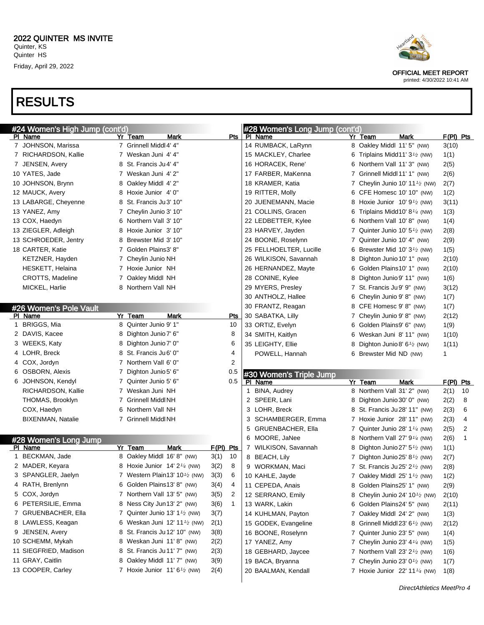

|                | #24 Women's High Jump (cont'd) |                                                       |           |              |   | #28 Women's Long Jump (cont'd) |    |                                                         |           |    |
|----------------|--------------------------------|-------------------------------------------------------|-----------|--------------|---|--------------------------------|----|---------------------------------------------------------|-----------|----|
| <b>PI Name</b> |                                | Yr Team<br>Mark                                       |           | Pts I        |   | PI Name                        |    | <b>Mark</b><br>Yr Team                                  | F(PI) Pts |    |
|                | 7 JOHNSON, Marissa             | 7 Grinnell Middl 4' 4"                                |           |              |   | 14 RUMBACK, LaRynn             |    | 8 Oakley Middl 11' 5" (NW)                              | 3(10)     |    |
|                | 7 RICHARDSON, Kallie           | 7 Weskan Juni 4'4"                                    |           |              |   | 15 MACKLEY, Charlee            |    | 6 Triplains Midd11' $3\frac{1}{2}$ (NW)                 | 1(1)      |    |
|                | 7 JENSEN, Avery                | 8 St. Francis Ju 4' 4"                                |           |              |   | 16 HORACEK, Rene'              |    | 6 Northern Vall 11'3" (NW)                              | 2(5)      |    |
|                | 10 YATES, Jade                 | 7 Weskan Juni 4'2"                                    |           |              |   | 17 FARBER, MaKenna             |    | 7 Grinnell Middl 11' 1" (NW)                            | 2(6)      |    |
|                | 10 JOHNSON, Brynn              | 8 Oakley Middl 4' 2"                                  |           |              |   | 18 KRAMER, Katia               |    | 7 Cheylin Junio 10' 11 $\frac{1}{2}$ (NW)               | 2(7)      |    |
|                | 12 MAUCK, Avery                | 8 Hoxie Junior 4'0"                                   |           |              |   | 19 RITTER, Molly               |    | 6 CFE Homesc 10' 10" (NW)                               | 1(2)      |    |
|                | 13 LABARGE, Cheyenne           | 8 St. Francis Ju 3' 10"                               |           |              |   | 20 JUENEMANN, Macie            |    | 8 Hoxie Junior $10'9'$ (NW)                             | 3(11)     |    |
|                | 13 YANEZ, Amy                  | 7 Cheylin Junio 3' 10"                                |           |              |   | 21 COLLINS, Gracen             |    | 6 Triplains Midd10' $8\frac{1}{4}$ (NW)                 | 1(3)      |    |
|                | 13 COX, Haedyn                 | 6 Northern Vall 3' 10"                                |           |              |   | 22 LEDBETTER, Kylee            |    | 6 Northern Vall 10' 8" (NW)                             | 1(4)      |    |
|                | 13 ZIEGLER, Adleigh            | 8 Hoxie Junior 3'10"                                  |           |              |   | 23 HARVEY, Jayden              |    | 7 Quinter Junio 10' $5\frac{1}{2}$ (NW)                 | 2(8)      |    |
|                | 13 SCHROEDER, Jentry           | 8 Brewster Mid 3' 10"                                 |           |              |   | 24 BOONE, Roselynn             |    | 7 Quinter Junio 10' 4" (NW)                             | 2(9)      |    |
|                | 18 CARTER, Katie               | 7 Golden Plains3' 8"                                  |           |              |   | 25 FELLHOELTER, Lucille        |    | 6 Brewster Mid 10' $3\frac{1}{2}$ (NW)                  | 1(5)      |    |
|                | KETZNER, Hayden                | 7 Cheylin Junio NH                                    |           |              |   | 26 WILKISON, Savannah          |    | 8 Dighton Junio 10' 1" (NW)                             | 2(10)     |    |
|                | HESKETT, Helaina               | 7 Hoxie Junior NH                                     |           |              |   | 26 HERNANDEZ, Mayte            |    | 6 Golden Plains10' 1" (NW)                              | 2(10)     |    |
|                | <b>CROTTS, Madeline</b>        | 7 Oakley Middl NH                                     |           |              |   | 28 CONINE, Kylee               |    | 8 Dighton Junio 9' 11" (NW)                             | 1(6)      |    |
|                | MICKEL, Harlie                 | 8 Northern Vall NH                                    |           |              |   | 29 MYERS, Presley              |    | 7 St. Francis Ju 9' 9" (NW)                             | 3(12)     |    |
|                |                                |                                                       |           |              |   | 30 ANTHOLZ, Hallee             |    | 6 Cheylin Junio 9' 8" (NW)                              | 1(7)      |    |
|                | #26 Women's Pole Vault         |                                                       |           |              |   | 30 FRANTZ, Reagan              |    | 8 CFE Homesc 9' 8" (NW)                                 | 1(7)      |    |
| PI Name        |                                | Yr Team<br>Mark                                       |           | <u>Pts</u>   |   | 30 SABATKA, Lilly              |    | 7 Cheylin Junio 9' 8" (NW)                              | 2(12)     |    |
|                | 1 BRIGGS, Mia                  | 8 Quinter Junio 9' 1"                                 |           | 10           |   | 33 ORTIZ, Evelyn               |    | 6 Golden Plains9' 6" (NW)                               | 1(9)      |    |
|                | 2 DAVIS, Kacee                 | 8 Dighton Junio 7' 6"                                 |           | 8            |   | 34 SMITH, Kaitlyn              |    | 6 Weskan Juni 8'11" (NW)                                | 1(10)     |    |
|                | 3 WEEKS, Katy                  | 8 Dighton Junio 7' 0"                                 |           | 6            |   | 35 LEIGHTY, Ellie              |    | 8 Dighton Junio 8' 6 <sup>1</sup> / <sub>2</sub> (NW)   | 1(11)     |    |
|                | 4 LOHR, Breck                  | 8 St. Francis Ju6' 0"                                 |           | 4            |   | POWELL, Hannah                 |    | 6 Brewster Mid ND (NW)                                  | 1         |    |
|                | 4 COX, Jordyn                  | 7 Northern Vall 6' 0"                                 |           | 2            |   |                                |    |                                                         |           |    |
|                | 6 OSBORN, Alexis               | 7 Dighton Junio 5' 6"                                 |           | 0.5          |   | #30 Women's Triple Jump        |    |                                                         |           |    |
|                | 6 JOHNSON, Kendyl              | 7 Quinter Junio 5' 6"                                 |           | 0.5          |   | PI Name                        |    | Mark<br>Yr Team                                         | F(PI) Pts |    |
|                | RICHARDSON, Kallie             | 7 Weskan Juni NH                                      |           |              |   | 1 BINA, Audrey                 |    | 8 Northern Vall 31' 2" (NW)                             | 2(1)      | 10 |
|                | THOMAS, Brooklyn               | 7 Grinnell Middl NH                                   |           |              |   | 2 SPEER, Lani                  |    | 8 Dighton Junio 30' 0" (NW)                             | 2(2)      | 8  |
|                | COX, Haedyn                    | 6 Northern Vall NH                                    |           |              |   | 3 LOHR, Breck                  |    | 8 St. Francis Ju 28' 11" (NW)                           | 2(3)      | 6  |
|                | <b>BIXENMAN, Natalie</b>       | 7 Grinnell Middl NH                                   |           |              | 3 | SCHAMBERGER, Emma              |    | 7 Hoxie Junior 28' 11" (NW)                             | 2(3)      | 4  |
|                |                                |                                                       |           |              |   | 5 GRUENBACHER, Ella            |    | 7 Quinter Junio 28' 1 1/4 (NW)                          | 2(5)      | 2  |
|                | #28 Women's Long Jump          |                                                       |           |              |   | 6 MOORE, JaNee                 |    | 8 Northern Vall 27' 9 <sup>1/4</sup> (NW)               | 2(6)      | 1  |
| PI Name        |                                | Mark<br>Yr Team                                       | F(PI) Pts |              |   | 7 WILKISON, Savannah           |    | 8 Dighton Junio 27' 5 <sup>1</sup> / <sub>2</sub> (NW)  | 1(1)      |    |
|                | 1 BECKMAN, Jade                | 8 Oakley Middl 16' 8" (NW)                            | 3(1)      | 10           |   | 8 BEACH, Lily                  |    | 7 Dighton Junio 25' 8 $\frac{1}{2}$ (NW)                | 2(7)      |    |
|                | 2 MADER, Keyara                | 8 Hoxie Junior $14'2\frac{1}{4}$ (NW)                 | 3(2)      | 8            |   | 9 WORKMAN, Maci                |    | 7 St. Francis Ju 25' $2\frac{1}{2}$ (NW)                | 2(8)      |    |
| 3              | SPANGLER, Jaelyn               | 7 Western Plain13' 10 <sup>1/2</sup> (NW)             | 3(3)      | 6            |   | 10 KAHLE, Jayde                |    | 7 Oakley Middl $25'$ 1 <sup>1</sup> / <sub>2</sub> (NW) | 1(2)      |    |
|                | 4 RATH, Brenlynn               | 6 Golden Plains13' 8" (NW)                            | 3(4)      | 4            |   | 11 CEPEDA, Anais               | 8. | Golden Plains25' 1" (NW)                                | 2(9)      |    |
|                | 5 COX, Jordyn                  | 7 Northern Vall 13' 5" (NW)                           | 3(5)      | 2            |   | 12 SERRANO, Emily              | 8  | Cheylin Junio 24' 10 <sup>1</sup> / <sub>2</sub> (NW)   | 2(10)     |    |
|                | 6 PETERSILIE, Emma             | 8 Ness City Jun13' 2" (NW)                            | 3(6)      | $\mathbf{1}$ |   | 13 WARK, Lakin                 | 6  | Golden Plains24' 5" (NW)                                | 2(11)     |    |
|                | 7 GRUENBACHER, Ella            | 7 Quinter Junio 13' $1\frac{1}{2}$ (NW)               | 3(7)      |              |   | 14 KUHLMAN, Payton             | 7. | Oakley Middl 24' 2" (NW)                                | 1(3)      |    |
|                | 8 LAWLESS, Keagan              | 6 Weskan Juni 12' 11 <sup>1</sup> / <sub>2</sub> (NW) | 2(1)      |              |   | 15 GODEK, Evangeline           | 8  | Grinnell Middl 23' 6 <sup>1</sup> / <sub>2</sub> (NW)   | 2(12)     |    |
|                | 9 JENSEN, Avery                | 8 St. Francis Ju 12' 10" (NW)                         | 3(8)      |              |   | 16 BOONE, Roselynn             | 7. | Quinter Junio 23' 5" (NW)                               | 1(4)      |    |
|                | 10 SCHEMM, Mykah               | 8 Weskan Juni 11'8" (NW)                              | 2(2)      |              |   | 17 YANEZ, Amy                  | 7. | Cheylin Junio 23' 4 <sup>1/4</sup> (NW)                 | 1(5)      |    |
|                | 11 SIEGFRIED, Madison          | 8 St. Francis Ju 11' 7" (NW)                          | 2(3)      |              |   | 18 GEBHARD, Jaycee             |    | 7 Northern Vall 23' $2\frac{1}{2}$ (NW)                 | 1(6)      |    |
|                | 11 GRAY, Caitlin               | 8 Oakley Middl 11' 7" (NW)                            | 3(9)      |              |   | 19 BACA, Bryanna               | 7. | Cheylin Junio 23' 0 <sup>1</sup> / <sub>2</sub> (NW)    | 1(7)      |    |
|                | 13 COOPER, Carley              | 7 Hoxie Junior $11'6'$ (NW)                           | 2(4)      |              |   | 20 BAALMAN, Kendall            |    | 7 Hoxie Junior $22'$ 11 $\frac{1}{4}$ (NW)              | 1(8)      |    |
|                |                                |                                                       |           |              |   |                                |    |                                                         |           |    |

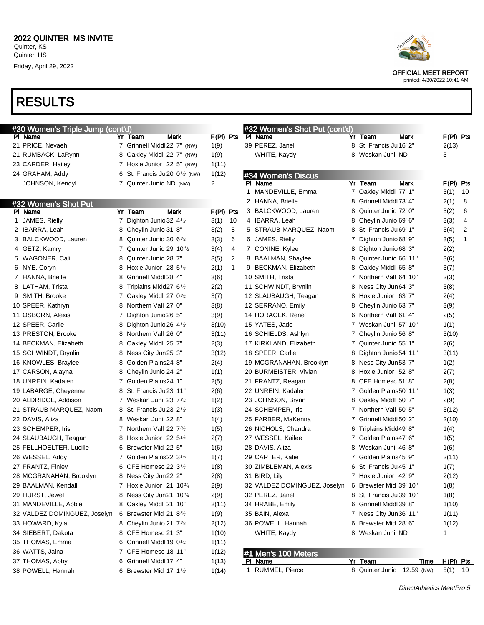



| #30 Women's Triple Jump (cont'd) |                                                    |             |              |              |   | #32 Women's Shot Put (cont'd)                       |   |                            |      |              |    |
|----------------------------------|----------------------------------------------------|-------------|--------------|--------------|---|-----------------------------------------------------|---|----------------------------|------|--------------|----|
| PI Name                          | Yr Team                                            | Mark        | F(PI) Pts    |              |   | PI Name                                             |   | Yr Team                    | Mark | F(PI) Pts    |    |
| 21 PRICE, Nevaeh                 | 7 Grinnell Middl 22' 7" (NW)                       |             | 1(9)         |              |   | 39 PEREZ, Janeli                                    |   | 8 St. Francis Ju 16' 2"    |      | 2(13)        |    |
| 21 RUMBACK, LaRynn               | 8 Oakley Middl 22' 7" (NW)                         |             | 1(9)         |              |   | WHITE, Kaydy                                        |   | 8 Weskan Juni ND           |      | 3            |    |
| 23 CARDER, Hailey                | 7 Hoxie Junior 22' 5" (NW)                         |             | 1(11)        |              |   |                                                     |   |                            |      |              |    |
| 24 GRAHAM, Addy                  | 6 St. Francis Ju 20' $0\frac{1}{2}$ (NW)           |             | 1(12)        |              |   | #34 Women's Discus                                  |   |                            |      |              |    |
| JOHNSON, Kendyl                  | 7 Quinter Junio ND (NW)                            |             | 2            |              |   | PI Name                                             |   | Yr Team                    | Mark | $F(PI)$ Pts  |    |
|                                  |                                                    |             |              |              | 1 | MANDEVILLE, Emma                                    |   | 7 Oakley Middl 77' 1"      |      | 3(1)         | 10 |
| #32 Women's Shot Put             |                                                    |             |              |              |   | 2 HANNA, Brielle                                    |   | 8 Grinnell Middl 73' 4"    |      | 2(1)         | 8  |
| PI Name                          | Yr Team                                            | <b>Mark</b> | $F(PI)$ Pts  |              |   | 3 BALCKWOOD, Lauren                                 | 8 | Quinter Junio 72' 0"       |      | 3(2)         | 6  |
| 1 JAMES, Rielly                  | 7 Dighton Junio 32' 41/2                           |             | 3(1)         | 10           |   | 4 IBARRA, Leah                                      | 8 | Cheylin Junio 69' 6"       |      | 3(3)         | 4  |
| 2 IBARRA, Leah                   | 8 Cheylin Junio 31' 8"                             |             | 3(2)         | 8            |   | 5 STRAUB-MARQUEZ, Naomi                             |   | 8 St. Francis Ju 69' 1"    |      | 3(4)         | 2  |
| 3 BALCKWOOD, Lauren              | 8 Quinter Junio 30' 63/4                           |             | 3(3)         | 6            | 6 | JAMES, Rielly                                       |   | 7 Dighton Junio 68' 9"     |      | 3(5)         | 1  |
| 4 GETZ, Kamry                    | 7 Quinter Junio 29' 10 $\frac{1}{2}$               |             | 3(4)         | 4            |   | 7 CONINE, Kylee                                     | 8 | Dighton Junio 68' 3"       |      | 2(2)         |    |
| 5 WAGONER, Cali                  | 8 Quinter Junio 28' 7"                             |             | 3(5)         | 2            |   | 8 BAALMAN, Shaylee                                  | 8 | Quinter Junio 66' 11"      |      | 3(6)         |    |
| 6 NYE, Coryn                     | 8 Hoxie Junior 28' $5\frac{1}{4}$                  |             | 2(1)         | $\mathbf{1}$ | 9 | BECKMAN, Elizabeth                                  | 8 | Oakley Middl 65' 8"        |      | 3(7)         |    |
| 7 HANNA, Brielle                 | 8 Grinnell Middl 28' 4"                            |             | 3(6)         |              |   | 10 SMITH, Trista                                    |   | 7 Northern Vall 64' 10"    |      | 2(3)         |    |
| 8 LATHAM, Trista                 | Triplains Midd27' 61/4<br>8                        |             | 2(2)         |              |   | 11 SCHWINDT, Brynlin                                |   | 8 Ness City Jun64' 3"      |      | 3(8)         |    |
| 9 SMITH, Brooke                  | 7 Oakley Middl 27' 03/4                            |             | 3(7)         |              |   | 12 SLAUBAUGH, Teagan                                |   | 8 Hoxie Junior 63'7"       |      | 2(4)         |    |
| 10 SPEER, Kathryn                | 8 Northern Vall 27' 0"                             |             | 3(8)         |              |   | 12 SERRANO, Emily                                   | 8 | Cheylin Junio 63' 7"       |      | 3(9)         |    |
| 11 OSBORN, Alexis                | 7 Dighton Junio 26' 5"                             |             | 3(9)         |              |   | 14 HORACEK, Rene'                                   |   | 6 Northern Vall 61' 4"     |      | 2(5)         |    |
| 12 SPEER, Carlie                 | 8 Dighton Junio 26' $4\frac{1}{2}$                 |             | 3(10)        |              |   | 15 YATES, Jade                                      | 7 | Weskan Juni 57' 10"        |      | 1(1)         |    |
| 13 PRESTON, Brooke               | 8 Northern Vall 26' 0"                             |             | 3(11)        |              |   | 16 SCHIELDS, Ashlyn                                 |   | 7 Cheylin Junio 56' 8"     |      | 3(10)        |    |
| 14 BECKMAN, Elizabeth            | 8 Oakley Middl 25' 7"                              |             | 2(3)         |              |   | 17 KIRKLAND, Elizabeth                              |   | 7 Quinter Junio 55' 1"     |      | 2(6)         |    |
| 15 SCHWINDT, Brynlin             | 8 Ness City Jun25' 3"                              |             | 3(12)        |              |   | 18 SPEER, Carlie                                    | 8 | Dighton Junio 54' 11"      |      | 3(11)        |    |
| 16 KNOWLES, Braylee              | 8 Golden Plains24' 8"                              |             | 2(4)         |              |   | 19 MCGRANAHAN, Brooklyn                             |   | 8 Ness City Jun53' 7"      |      | 1(2)         |    |
| 17 CARSON, Alayna                | 8 Cheylin Junio 24' 2"                             |             | 1(1)         |              |   | 20 BURMEISTER, Vivian                               |   | 8 Hoxie Junior 52'8"       |      | 2(7)         |    |
| 18 UNREIN, Kadalen               | 7 Golden Plains24' 1"                              |             | 2(5)         |              |   | 21 FRANTZ, Reagan                                   | 8 | CFE Homesc 51' 8"          |      | 2(8)         |    |
| 19 LABARGE, Cheyenne             | 8 St. Francis Ju 23' 11"                           |             | 2(6)         |              |   | 22 UNREIN, Kadalen                                  |   | 7 Golden Plains50' 11"     |      | 1(3)         |    |
| 20 ALDRIDGE, Addison             | 7 Weskan Juni 23' 734                              |             | 1(2)         |              |   | 23 JOHNSON, Brynn                                   |   | 8 Oakley Middl 50' 7"      |      | 2(9)         |    |
| 21 STRAUB-MARQUEZ, Naomi         | 8 St. Francis Ju 23' 2 <sup>1</sup> / <sub>2</sub> |             | 1(3)         |              |   | 24 SCHEMPER, Iris                                   |   | 7 Northern Vall 50' 5"     |      | 3(12)        |    |
| 22 DAVIS, Aliza                  | 8 Weskan Juni 22'8"                                |             |              |              |   | 25 FARBER, MaKenna                                  |   | 7 Grinnell Middl 50' 2"    |      |              |    |
| 23 SCHEMPER, Iris                | 7 Northern Vall 22' 73/4                           |             | 1(4)         |              |   | 26 NICHOLS, Chandra                                 | 6 | Triplains Midd49' 8"       |      | 2(10)        |    |
| 24 SLAUBAUGH, Teagan             | 8 Hoxie Junior 22' $5\frac{1}{2}$                  |             | 1(5)         |              |   | 27 WESSEL, Kailee                                   |   | 7 Golden Plains47' 6"      |      | 1(4)         |    |
| 25 FELLHOELTER, Lucille          | 6 Brewster Mid 22' 5"                              |             | 2(7)<br>1(6) |              |   | 28 DAVIS, Aliza                                     | 8 | Weskan Juni 46'8"          |      | 1(5)<br>1(6) |    |
|                                  | 7 Golden Plains22' 31/2                            |             |              |              |   | 29 CARTER, Katie                                    |   | 7 Golden Plains45' 9"      |      |              |    |
| 26 WESSEL, Addy                  |                                                    |             | 1(7)         |              |   |                                                     |   |                            |      | 2(11)        |    |
| 27 FRANTZ, Finley                | 6 CFE Homesc 22' $3\frac{1}{4}$                    |             | 1(8)         |              |   | 30 ZIMBLEMAN, Alexis                                |   | 6 St. Francis Ju 45' 1"    |      | 1(7)         |    |
| 28 MCGRANAHAN, Brooklyn          | 8 Ness City Jun22' 2"                              |             | 2(8)         |              |   | 31 BIRD, Lily                                       |   | 7 Hoxie Junior 42' 9"      |      | 2(12)        |    |
| 29 BAALMAN, Kendall              | 7 Hoxie Junior 21' 101/4                           |             | 2(9)         |              |   | 32 VALDEZ DOMINGUEZ, Joselyn 6 Brewster Mid 39' 10" |   |                            |      | 1(8)         |    |
| 29 HURST, Jewel                  | 8 Ness City Jun21' 101/4                           |             | 2(9)         |              |   | 32 PEREZ, Janeli                                    |   | 8 St. Francis Ju 39' 10"   |      | 1(8)         |    |
| 31 MANDEVILLE, Abbie             | 8 Oakley Middl 21' 10"                             |             | 2(11)        |              |   | 34 HRABE, Emily                                     |   | 6 Grinnell Middl 39' 8"    |      | 1(10)        |    |
| 32 VALDEZ DOMINGUEZ, Joselyn     | 6 Brewster Mid 21' 83/4                            |             | 1(9)         |              |   | 35 BAIN, Alexa                                      |   | 7 Ness City Jun 36' 11"    |      | 1(11)        |    |
| 33 HOWARD, Kyla                  | 8 Cheylin Junio 21' 73/4                           |             | 2(12)        |              |   | 36 POWELL, Hannah                                   |   | 6 Brewster Mid 28' 6"      |      | 1(12)        |    |
| 34 SIEBERT, Dakota               | 8 CFE Homesc 21' 3"                                |             | 1(10)        |              |   | WHITE, Kaydy                                        |   | 8 Weskan Juni ND           |      | 1            |    |
| 35 THOMAS, Emma                  | 6 Grinnell Middl 19' 01/4                          |             | 1(11)        |              |   |                                                     |   |                            |      |              |    |
| 36 WATTS, Jaina                  | 7 CFE Homesc 18' 11"                               |             | 1(12)        |              |   | #1 Men's 100 Meters                                 |   |                            |      |              |    |
| 37 THOMAS, Abby                  | 6 Grinnell Middl 17' 4"                            |             | 1(13)        |              |   | PI Name                                             |   | Yr Team                    | Time | $H(PI)$ Pts  |    |
| 38 POWELL, Hannah                | 6 Brewster Mid 17' 11/2                            |             | 1(14)        |              |   | 1 RUMMEL, Pierce                                    |   | 8 Quinter Junio 12.59 (NW) |      | $5(1)$ 10    |    |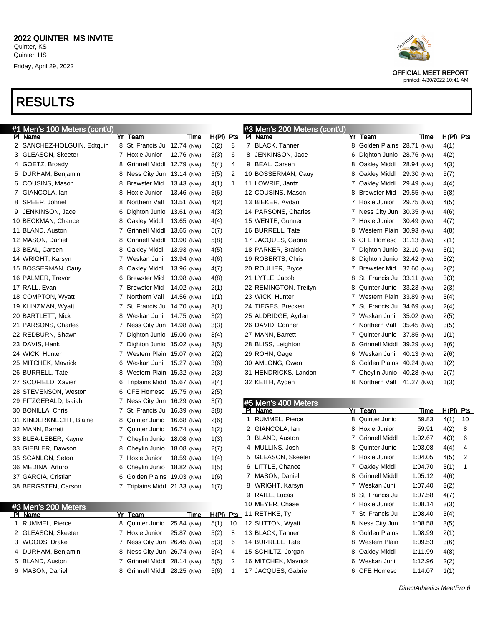

printed: 4/30/2022 10:41 AM

## RESULTS

| #1 Men's 100 Meters (cont'd) |                             |             |                      | #3 Men's 200 Meters (cont'd) |    |                             |             |             |              |
|------------------------------|-----------------------------|-------------|----------------------|------------------------------|----|-----------------------------|-------------|-------------|--------------|
| PI Name                      | Yr Team                     | Time        | $H(PI)$ Pts          | PI Name                      |    | Yr Team                     | Time        | $H(PI)$ Pts |              |
| 2 SANCHEZ-HOLGUIN, Edtquin   | 8 St. Francis Ju 12.74 (NW) |             | 5(2)<br>8            | 7 BLACK, Tanner              |    | 8 Golden Plains 28.71 (NW)  |             | 4(1)        |              |
| 3 GLEASON, Skeeter           | 7 Hoxie Junior              | 12.76 (NW)  | 5(3)<br>6            | 8 JENKINSON, Jace            | 6. | Dighton Junio 28.76 (NW)    |             | 4(2)        |              |
| 4 GOETZ, Broady              | 8 Grinnell Middl 12.79 (NW) |             | 4<br>5(4)            | 9 BEAL, Carsen               | 8  | Oakley Middl                | 28.94 (NW)  | 4(3)        |              |
| 5 DURHAM, Benjamin           | 8 Ness City Jun 13.14 (NW)  |             | 2<br>5(5)            | 10 BOSSERMAN, Cauy           | 8  | Oakley Middl                | 29.30 (NW)  | 5(7)        |              |
| 6 COUSINS, Mason             | 8 Brewster Mid 13.43 (NW)   |             | $\mathbf{1}$<br>4(1) | 11 LOWRIE, Jantz             |    | 7 Oakley Middl              | 29.49 (NW)  | 4(4)        |              |
| 7 GIANCOLA, Ian              | 8 Hoxie Junior              | 13.46 (NW)  | 5(6)                 | 12 COUSINS, Mason            | 8  | <b>Brewster Mid</b>         | 29.55 (NW)  | 5(8)        |              |
| 8 SPEER, Johnel              | 8 Northern Vall             | 13.51 (NW)  | 4(2)                 | 13 BIEKER, Aydan             |    | 7 Hoxie Junior              | 29.75 (NW)  | 4(5)        |              |
| 9 JENKINSON, Jace            | 6 Dighton Junio 13.61 (NW)  |             | 4(3)                 | 14 PARSONS, Charles          |    | 7 Ness City Jun 30.35 (NW)  |             | 4(6)        |              |
| 10 BECKMAN, Chance           | 8 Oakley Middl              | 13.65 (NW)  | 4(4)                 | 15 WENTE, Gunner             |    | 7 Hoxie Junior              | 30.49 (NW)  | 4(7)        |              |
| 11 BLAND, Auston             | 7 Grinnell Middl 13.65 (NW) |             | 5(7)                 | 16 BURRELL, Tate             | 8  | Western Plain 30.93 (NW)    |             | 4(8)        |              |
| 12 MASON, Daniel             | 8 Grinnell Middl 13.90 (NW) |             | 5(8)                 | 17 JACQUES, Gabriel          |    | 6 CFE Homesc 31.13 (NW)     |             | 2(1)        |              |
| 13 BEAL, Carsen              | 8 Oakley Middl              | 13.93 (NW)  | 4(5)                 | 18 PARKER, Braiden           |    | 7 Dighton Junio 32.10 (NW)  |             | 3(1)        |              |
| 14 WRIGHT, Karsyn            | 7 Weskan Juni               | 13.94 (NW)  | 4(6)                 | 19 ROBERTS, Chris            | 8  | Dighton Junio 32.42 (NW)    |             | 3(2)        |              |
| 15 BOSSERMAN, Cauy           | 8 Oakley Middl              | 13.96 (NW)  | 4(7)                 | 20 ROULIER, Bryce            |    | 7 Brewster Mid 32.60 (NW)   |             | 2(2)        |              |
| 16 PALMER, Trevor            | 6 Brewster Mid              | 13.98 (NW)  | 4(8)                 | 21 LYTLE, Jacob              | 8  | St. Francis Ju 33.11 (NW)   |             | 3(3)        |              |
| 17 RALL, Evan                | 7 Brewster Mid              | 14.02 (NW)  | 2(1)                 | 22 REMINGTON, Treityn        | 8  | Quinter Junio 33.23 (NW)    |             | 2(3)        |              |
| 18 COMPTON, Wyatt            | 7 Northern Vall 14.56 (NW)  |             | 1(1)                 | 23 WICK, Hunter              |    | 7 Western Plain 33.89 (NW)  |             | 3(4)        |              |
| 19 KLINZMAN, Wyatt           | 7 St. Francis Ju 14.70 (NW) |             | 3(1)                 | 24 TIEGES, Brecken           |    | 7 St. Francis Ju 34.69 (NW) |             | 2(4)        |              |
| 20 BARTLETT, Nick            | 8 Weskan Juni 14.75 (NW)    |             | 3(2)                 | 25 ALDRIDGE, Ayden           |    | 7 Weskan Juni               | 35.02 (NW)  | 2(5)        |              |
| 21 PARSONS, Charles          | 7 Ness City Jun 14.98 (NW)  |             | 3(3)                 | 26 DAVID, Conner             |    | 7 Northern Vall 35.45 (NW)  |             | 3(5)        |              |
| 22 REDBURN, Shawn            | 7 Dighton Junio 15.00 (NW)  |             | 3(4)                 | 27 MANN, Barrett             |    | 7 Quinter Junio 37.85 (NW)  |             | 1(1)        |              |
| 23 DAVIS, Hank               | 7 Dighton Junio 15.02 (NW)  |             | 3(5)                 | 28 BLISS, Leighton           | 6  | Grinnell Middl 39.29 (NW)   |             | 3(6)        |              |
| 24 WICK, Hunter              | 7 Western Plain 15.07 (NW)  |             | 2(2)                 | 29 ROHN, Gage                | 6  | Weskan Juni 40.13 (NW)      |             | 2(6)        |              |
| 25 MITCHEK, Mavrick          | 6 Weskan Juni 15.27 (NW)    |             | 3(6)                 | 30 AMLONG, Owen              | 6  | Golden Plains 40.24 (NW)    |             | 1(2)        |              |
| 26 BURRELL, Tate             | 8 Western Plain 15.32 (NW)  |             | 2(3)                 | 31 HENDRICKS, Landon         |    | 7 Cheylin Junio 40.28 (NW)  |             | 2(7)        |              |
| 27 SCOFIELD, Xavier          | 6 Triplains Midd 15.67 (NW) |             | 2(4)                 | 32 KEITH, Ayden              |    | 8 Northern Vall 41.27 (NW)  |             | 1(3)        |              |
| 28 STEVENSON, Weston         | 6 CFE Homesc 15.75 (NW)     |             | 2(5)                 |                              |    |                             |             |             |              |
| 29 FITZGERALD, Isaiah        | 7 Ness City Jun 16.29 (NW)  |             | 3(7)                 | #5 Men's 400 Meters          |    |                             |             |             |              |
| 30 BONILLA, Chris            | 7 St. Francis Ju 16.39 (NW) |             | 3(8)                 | PI Name                      |    | Yr Team                     | <u>Time</u> | $H(PI)$ Pts |              |
| 31 KINDERKNECHT, Blaine      | 8 Quinter Junio 16.68 (NW)  |             | 2(6)                 | 1 RUMMEL, Pierce             | 8  | Quinter Junio               | 59.83       | 4(1)        | 10           |
| 32 MANN, Barrett             | 7 Quinter Junio 16.74 (NW)  |             | 1(2)                 | 2 GIANCOLA, Ian              | 8  | Hoxie Junior                | 59.91       | 4(2)        | 8            |
| 33 BLEA-LEBER, Kayne         | 7 Cheylin Junio 18.08 (NW)  |             | 1(3)                 | 3 BLAND, Auston              |    | Grinnell Middl              | 1:02.67     | 4(3)        | 6            |
| 33 GIEBLER, Dawson           | 8 Cheylin Junio 18.08 (NW)  |             | 2(7)                 | 4 MULLINS, Josh              | 8  | Quinter Junio               | 1:03.08     | 4(4)        | 4            |
| 35 SCANLON, Seton            | 7 Hoxie Junior              | 18.59 (NW)  | 1(4)                 | 5 GLEASON, Skeeter           | 7  | Hoxie Junior                | 1:04.05     | 4(5)        | 2            |
| 36 MEDINA, Arturo            | 6 Cheylin Junio 18.82 (NW)  |             | 1(5)                 | 6 LITTLE, Chance             |    | 7 Oakley Middl              | 1:04.70     | 3(1)        | $\mathbf{1}$ |
| 37 GARCIA, Cristian          | 6 Golden Plains 19.03 (NW)  |             | 1(6)                 | 7 MASON, Daniel              |    | 8 Grinnell Middl            | 1:05.12     | 4(6)        |              |
| 38 BERGSTEN, Carson          | 7 Triplains Midd 21.33 (NW) |             | 1(7)                 | 8 WRIGHT, Karsyn             |    | 7 Weskan Juni               | 1:07.40     | 3(2)        |              |
|                              |                             |             |                      | 9 RAILE, Lucas               |    | 8 St. Francis Ju            | 1:07.58     | 4(7)        |              |
| #3 Men's 200 Meters          |                             |             |                      | 10 MEYER, Chase              |    | 7 Hoxie Junior              | 1:08.14     | 3(3)        |              |
| <b>PI Name</b>               | Yr Team                     | <b>Time</b> | H(PI) Pts            | 11 RETHKE, Ty                |    | 7 St. Francis Ju            | 1:08.40     | 3(4)        |              |
| 1 RUMMEL, Pierce             | 8 Quinter Junio 25.84 (NW)  |             | 5(1)<br>10           | 12 SUTTON, Wyatt             | 8  | Ness City Jun               | 1:08.58     | 3(5)        |              |
| 2 GLEASON, Skeeter           | 7 Hoxie Junior              | 25.87 (NW)  | 5(2)<br>8            | 13 BLACK, Tanner             | 8  | <b>Golden Plains</b>        | 1:08.99     | 2(1)        |              |
| 3 WOODS, Drake               | 7 Ness City Jun 26.45 (NW)  |             | 6<br>5(3)            | 14 BURRELL, Tate             | 8  | Western Plain               | 1:09.53     | 3(6)        |              |
| 4 DURHAM, Benjamin           | 8 Ness City Jun 26.74 (NW)  |             | 5(4)<br>4            | 15 SCHILTZ, Jorgan           | 8  | <b>Oakley Middl</b>         | 1:11.99     | 4(8)        |              |
| 5 BLAND, Auston              | 7 Grinnell Middl 28.14 (NW) |             | 2<br>5(5)            | 16 MITCHEK, Mavrick          | 6. | Weskan Juni                 | 1:12.96     | 2(2)        |              |
| 6 MASON, Daniel              | 8 Grinnell Middl 28.25 (NW) |             | 5(6)<br>$\mathbf{1}$ | 17 JACQUES, Gabriel          | 6  | <b>CFE Homesc</b>           | 1:14.07     | 1(1)        |              |
|                              |                             |             |                      |                              |    |                             |             |             |              |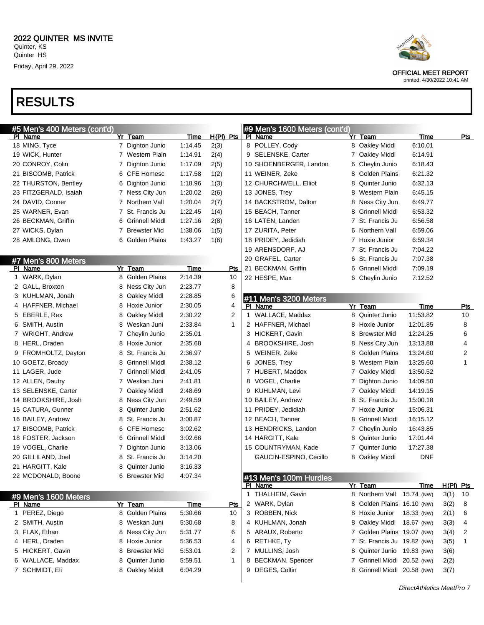# RESULTS

| #5 Men's 400 Meters (cont'd) |                            |             |             | #9 Men's 1600 Meters (cont'd) |   |                             |             |             |  |
|------------------------------|----------------------------|-------------|-------------|-------------------------------|---|-----------------------------|-------------|-------------|--|
| PI Name                      | Yr Team                    | Time        | $H(PI)$ Pts | PI Name                       |   | Yr Team                     | <u>Time</u> | <b>Pts</b>  |  |
| 18 MING, Tyce                | 7 Dighton Junio            | 1:14.45     | 2(3)        | 8 POLLEY, Cody                |   | 8 Oakley Middl              | 6:10.01     |             |  |
| 19 WICK, Hunter              | 7 Western Plain            | 1:14.91     | 2(4)        | 9 SELENSKE, Carter            |   | 7 Oakley Middl              | 6:14.91     |             |  |
| 20 CONROY, Colin             | 7 Dighton Junio            | 1:17.09     | 2(5)        | 10 SHOENBERGER, Landon        | 6 | Cheylin Junio               | 6:18.43     |             |  |
| 21 BISCOMB, Patrick          | <b>CFE Homesc</b><br>6     | 1:17.58     | 1(2)        | 11 WEINER, Zeke               | 8 | Golden Plains               | 6:21.32     |             |  |
| 22 THURSTON, Bentley         | Dighton Junio<br>6         | 1:18.96     | 1(3)        | 12 CHURCHWELL, Elliot         | 8 | Quinter Junio               | 6:32.13     |             |  |
| 23 FITZGERALD, Isaiah        | 7 Ness City Jun            | 1:20.02     | 2(6)        | 13 JONES, Trey                | 8 | Western Plain               | 6:45.15     |             |  |
| 24 DAVID, Conner             | 7 Northern Vall            | 1:20.04     | 2(7)        | 14 BACKSTROM, Dalton          | 8 | Ness City Jun               | 6:49.77     |             |  |
| 25 WARNER, Evan              | 7 St. Francis Ju           | 1:22.45     | 1(4)        | 15 BEACH, Tanner              | 8 | <b>Grinnell Middl</b>       | 6:53.32     |             |  |
| 26 BECKMAN, Griffin          | <b>Grinnell Middl</b><br>6 | 1:27.16     | 2(8)        | 16 LATEN, Landen              |   | 7 St. Francis Ju            | 6:56.58     |             |  |
| 27 WICKS, Dylan              | <b>Brewster Mid</b>        | 1:38.06     | 1(5)        | 17 ZURITA, Peter              | 6 | Northern Vall               | 6:59.06     |             |  |
| 28 AMLONG, Owen              | <b>Golden Plains</b><br>6. | 1:43.27     | 1(6)        | 18 PRIDEY, Jedidiah           |   | 7 Hoxie Junior              | 6:59.34     |             |  |
|                              |                            |             |             | 19 ARENSDORF, AJ              |   | 7 St. Francis Ju            | 7:04.22     |             |  |
| #7 Men's 800 Meters          |                            |             |             | 20 GRAFEL, Carter             | 6 | St. Francis Ju              | 7:07.38     |             |  |
| PI Name                      | Yr Team                    | <b>Time</b> | <b>Pts</b>  | 21 BECKMAN, Griffin           | 6 | <b>Grinnell Middl</b>       | 7:09.19     |             |  |
| WARK, Dylan<br>$\mathbf 1$   | <b>Golden Plains</b><br>8  | 2:14.39     | 10          | 22 HESPE, Max                 |   | 6 Cheylin Junio             | 7:12.52     |             |  |
| 2 GALL, Broxton              | Ness City Jun<br>8         | 2:23.77     | 8           |                               |   |                             |             |             |  |
| 3 KUHLMAN, Jonah             | <b>Oakley Middl</b><br>8   | 2:28.85     | 6           | #11 Men's 3200 Meters         |   |                             |             |             |  |
| 4 HAFFNER, Michael           | 8<br>Hoxie Junior          | 2:30.05     | 4           | PI Name                       |   | Yr Team                     | <b>Time</b> | <u>Pts</u>  |  |
| 5 EBERLE, Rex                | Oakley Middl<br>8          | 2:30.22     | 2           | WALLACE, Maddax<br>1          |   | 8 Quinter Junio             | 11:53.82    | 10          |  |
| 6 SMITH, Austin              | 8<br>Weskan Juni           | 2:33.84     | 1           | 2 HAFFNER, Michael            |   | 8 Hoxie Junior              | 12:01.85    | 8           |  |
| 7 WRIGHT, Andrew             | Cheylin Junio<br>7         | 2:35.01     |             | 3 HICKERT, Gavin              | 8 | Brewster Mid                | 12:24.25    | 6           |  |
| 8 HERL, Draden               | 8<br>Hoxie Junior          | 2:35.68     |             | BROOKSHIRE, Josh<br>4         | 8 | Ness City Jun               | 13:13.88    | 4           |  |
| 9 FROMHOLTZ, Dayton          | St. Francis Ju<br>8        | 2:36.97     |             | WEINER, Zeke<br>5             | 8 | Golden Plains               | 13:24.60    | 2           |  |
| 10 GOETZ, Broady             | <b>Grinnell Middl</b><br>8 | 2:38.12     |             | JONES, Trey<br>6              | 8 | Western Plain               | 13:25.60    | 1           |  |
| 11 LAGER, Jude               | <b>Grinnell Middl</b><br>7 | 2:41.05     |             | 7 HUBERT, Maddox              | 7 | Oakley Middl                | 13:50.52    |             |  |
| 12 ALLEN, Dautry             | Weskan Juni<br>7           | 2:41.81     |             | VOGEL, Charlie<br>8           | 7 | Dighton Junio               | 14:09.50    |             |  |
| 13 SELENSKE, Carter          | 7 Oakley Middl             | 2:48.69     |             | KUHLMAN, Levi<br>9            | 7 | Oakley Middl                | 14:19.15    |             |  |
| 14 BROOKSHIRE, Josh          | Ness City Jun<br>8         | 2:49.59     |             | 10 BAILEY, Andrew             | 8 | St. Francis Ju              | 15:00.18    |             |  |
| 15 CATURA, Gunner            | Quinter Junio<br>8         | 2:51.62     |             | 11 PRIDEY, Jedidiah           | 7 | Hoxie Junior                | 15:06.31    |             |  |
| 16 BAILEY, Andrew            | St. Francis Ju<br>8        | 3:00.87     |             | 12 BEACH, Tanner              | 8 | Grinnell Middl              | 16:15.12    |             |  |
| 17 BISCOMB, Patrick          | <b>CFE Homesc</b><br>6     | 3:02.62     |             | 13 HENDRICKS, Landon          | 7 | Cheylin Junio               | 16:43.85    |             |  |
| 18 FOSTER, Jackson           | <b>Grinnell Middl</b><br>6 | 3:02.66     |             | 14 HARGITT, Kale              | 8 | Quinter Junio               | 17:01.44    |             |  |
| 19 VOGEL, Charlie            | Dighton Junio              | 3:13.06     |             | 15 COUNTRYMAN, Kade           |   | Quinter Junio               | 17:27.38    |             |  |
| 20 GILLILAND, Joel           | St. Francis Ju<br>8        | 3:14.20     |             | GAUCIN-ESPINO, Cecillo        | 8 | Oakley Middl                | <b>DNF</b>  |             |  |
| 21 HARGITT, Kale             | Quinter Junio<br>8         | 3:16.33     |             |                               |   |                             |             |             |  |
| 22 MCDONALD, Boone           | <b>Brewster Mid</b>        | 4:07.34     |             | #13 Men's 100m Hurdles        |   |                             |             |             |  |
|                              |                            |             |             | PI Name                       |   | Yr Team                     | Time        | $H(PI)$ Pts |  |
| #9 Men's 1600 Meters         |                            |             |             | 1 THALHEIM, Gavin             |   | 8 Northern Vall 15.74 (NW)  |             | 3(1)<br>10  |  |
| <b>PI</b> Name               | Yr Team                    | Time        | Pts         | 2 WARK, Dylan                 |   | 8 Golden Plains 16.10 (NW)  |             | 3(2)<br>8   |  |
| 1 PEREZ, Diego               | 8 Golden Plains            | 5:30.66     | 10          | 3 ROBBEN, Nick                |   | 8 Hoxie Junior              | 18.33 (NW)  | 2(1)<br>6   |  |
| 2 SMITH, Austin              | 8 Weskan Juni              | 5:30.68     | 8           | 4 KUHLMAN, Jonah              | 8 | Oakley Middl                | 18.67 (NW)  | 3(3)<br>4   |  |
| 3 FLAX, Ethan                | Ness City Jun<br>8         | 5:31.77     | 6           | 5 ARAUX, Roberto              |   | 7 Golden Plains 19.07 (NW)  |             | 3(4)<br>2   |  |
| 4 HERL, Draden               | Hoxie Junior<br>8          | 5:36.53     | 4           | RETHKE, Ty<br>6               |   | 7 St. Francis Ju 19.82 (NW) |             | 3(5)<br>1   |  |
| 5 HICKERT, Gavin             | <b>Brewster Mid</b><br>8   | 5:53.01     | 2           | 7 MULLINS, Josh               | 8 | Quinter Junio 19.83 (NW)    |             | 3(6)        |  |
| 6 WALLACE, Maddax            | Quinter Junio<br>8         | 5:59.51     | 1           | <b>BECKMAN, Spencer</b><br>8  |   | 7 Grinnell Middl 20.52 (NW) |             | 2(2)        |  |
| 7 SCHMIDT, Eli               | 8 Oakley Middl             | 6:04.29     |             | DEGES, Coltin<br>9            | 8 | Grinnell Middl 20.58 (NW)   |             | 3(7)        |  |
|                              |                            |             |             |                               |   |                             |             |             |  |



OFFICIAL MEET REPORT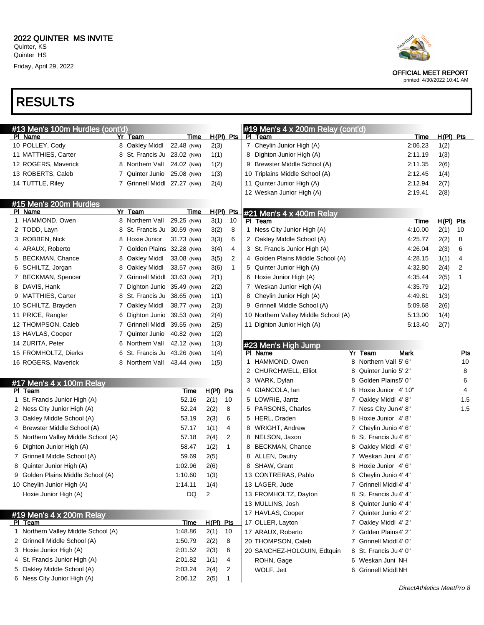

printed: 4/30/2022 10:41 AM

## RESULTS

| #13 Men's 100m Hurdles (cont'd)          |                             |               |                |                  |   | #19 Men's 4 x 200m Relay (cont'd)    |         |                                              |             |        |
|------------------------------------------|-----------------------------|---------------|----------------|------------------|---|--------------------------------------|---------|----------------------------------------------|-------------|--------|
| PI Name                                  | Yr Team                     | Time          |                | $H(PI)$ Pts      |   | PI Team                              |         | Time                                         | $H(PI)$ Pts |        |
| 10 POLLEY, Cody                          | 8 Oakley Middl 22.48 (NW)   |               | 2(3)           |                  |   | 7 Cheylin Junior High (A)            |         | 2:06.23                                      | 1(2)        |        |
| 11 MATTHIES, Carter                      | 8 St. Francis Ju 23.02 (NW) |               | 1(1)           |                  |   | 8 Dighton Junior High (A)            |         | 2:11.19                                      | 1(3)        |        |
| 12 ROGERS, Maverick                      | 8 Northern Vall 24.02 (NW)  |               | 1(2)           |                  |   | 9 Brewster Middle School (A)         |         | 2:11.35                                      | 2(6)        |        |
| 13 ROBERTS, Caleb                        | 7 Quinter Junio 25.08 (NW)  |               | 1(3)           |                  |   | 10 Triplains Middle School (A)       |         | 2:12.45                                      | 1(4)        |        |
| 14 TUTTLE, Riley                         | 7 Grinnell Middl 27.27 (NW) |               | 2(4)           |                  |   | 11 Quinter Junior High (A)           |         | 2:12.94                                      | 2(7)        |        |
|                                          |                             |               |                |                  |   | 12 Weskan Junior High (A)            |         | 2:19.41                                      | 2(8)        |        |
| #15 Men's 200m Hurdles                   |                             |               |                |                  |   |                                      |         |                                              |             |        |
| PI Name                                  | Yr Team                     | Time          | H(PI) Pts      |                  |   | #21 Men's 4 x 400m Relay             |         |                                              |             |        |
| 1 HAMMOND, Owen                          | 8 Northern Vall             | 29.25 (NW)    | 3(1)           | 10               |   | PI Team                              |         | Time                                         | $H(PI)$ Pts |        |
| 2 TODD, Layn                             | 8 St. Francis Ju 30.59 (NW) |               | 3(2)           | 8                | 1 | Ness City Junior High (A)            |         | 4:10.00                                      | 2(1)        | 10     |
| 3 ROBBEN, Nick                           | 8 Hoxie Junior              | 31.73 (NW)    | 3(3)           | 6                |   | 2 Oakley Middle School (A)           |         | 4:25.77                                      | 2(2)        | 8      |
| 4 ARAUX, Roberto                         | 7 Golden Plains 32.28 (NW)  |               | 3(4)           | 4                |   | 3 St. Francis Junior High (A)        |         | 4:26.04                                      | 2(3)        | 6      |
| 5 BECKMAN, Chance                        | 8 Oakley Middl              | 33.08 (NW)    | 3(5)           | $\overline{2}$   |   | 4 Golden Plains Middle School (A)    |         | 4:28.15                                      | 1(1)        | 4      |
| 6 SCHILTZ, Jorgan                        | 8 Oakley Middl              | 33.57 (NW)    | 3(6)           | $\mathbf{1}$     |   | 5 Quinter Junior High (A)            |         | 4:32.80                                      | 2(4)        | 2      |
| 7 BECKMAN, Spencer                       | 7 Grinnell Middl 33.63 (NW) |               | 2(1)           |                  |   | 6 Hoxie Junior High (A)              |         | 4:35.44                                      | 2(5)        | 1      |
| 8 DAVIS, Hank                            | 7 Dighton Junio 35.49 (NW)  |               | 2(2)           |                  |   | 7 Weskan Junior High (A)             |         | 4:35.79                                      | 1(2)        |        |
| 9 MATTHIES, Carter                       | 8 St. Francis Ju 38.65 (NW) |               | 1(1)           |                  |   | 8 Cheylin Junior High (A)            |         | 4:49.81                                      | 1(3)        |        |
| 10 SCHILTZ, Brayden                      | 7 Oakley Middl              | 38.77 (NW)    | 2(3)           |                  |   | 9 Grinnell Middle School (A)         |         | 5:09.68                                      | 2(6)        |        |
| 11 PRICE, Rangler                        | 6 Dighton Junio 39.53 (NW)  |               | 2(4)           |                  |   | 10 Northern Valley Middle School (A) |         | 5:13.00                                      | 1(4)        |        |
| 12 THOMPSON, Caleb                       | 7 Grinnell Middl 39.55 (NW) |               | 2(5)           |                  |   | 11 Dighton Junior High (A)           |         | 5:13.40                                      | 2(7)        |        |
| 13 HAVLAS, Cooper                        | 7 Quinter Junio 40.82 (NW)  |               | 1(2)           |                  |   |                                      |         |                                              |             |        |
| 14 ZURITA, Peter                         | 6 Northern Vall 42.12 (NW)  |               | 1(3)           |                  |   | #23 Men's High Jump                  |         |                                              |             |        |
| 15 FROMHOLTZ, Dierks                     | 6 St. Francis Ju 43.26 (NW) |               | 1(4)           |                  |   | PI Name                              | Yr Team | Mark                                         |             | Pts    |
| 16 ROGERS, Maverick                      | 8 Northern Vall 43.44 (NW)  |               | 1(5)           |                  | 1 | HAMMOND, Owen                        |         | 8 Northern Vall 5' 6"                        |             | 10     |
|                                          |                             |               |                |                  |   | 2 CHURCHWELL, Elliot                 |         | 8 Quinter Junio 5' 2"                        |             | 8      |
| #17 Men's 4 x 100m Relay                 |                             |               |                |                  |   | 3 WARK, Dylan                        |         | 8 Golden Plains5' 0"                         |             | 6<br>4 |
| PI Team<br>1 St. Francis Junior High (A) |                             | Time<br>52.16 | <u>H(PI)</u>   | <u>Pts</u><br>10 |   | 4 GIANCOLA, lan<br>5 LOWRIE, Jantz   |         | 8 Hoxie Junior 4' 10"<br>7 Oakley Middl 4'8" |             | 1.5    |
| 2 Ness City Junior High (A)              |                             | 52.24         | 2(1)<br>2(2)   | 8                |   | 5 PARSONS, Charles                   |         | 7 Ness City Jun4' 8"                         |             | 1.5    |
| 3 Oakley Middle School (A)               |                             | 53.19         | 2(3)           | 6                |   | 5 HERL, Draden                       |         | 8 Hoxie Junior 4'8"                          |             |        |
| 4 Brewster Middle School (A)             |                             | 57.17         | 1(1)           | 4                |   | 8 WRIGHT, Andrew                     |         | 7 Cheylin Junio 4' 6"                        |             |        |
| 5 Northern Valley Middle School (A)      |                             | 57.18         | 2(4)           | 2                |   | 8 NELSON, Jaxon                      |         | 8 St. Francis Ju 4' 6"                       |             |        |
| 6 Dighton Junior High (A)                |                             | 58.47         | 1(2)           | $\mathbf{1}$     |   | 8 BECKMAN, Chance                    |         | 8 Oakley Middl 4' 6"                         |             |        |
| 7 Grinnell Middle School (A)             |                             | 59.69         | 2(5)           |                  |   | 8 ALLEN, Dautry                      |         | 7 Weskan Juni 4'6"                           |             |        |
| 8 Quinter Junior High (A)                |                             | 1:02.96       | 2(6)           |                  |   | 8 SHAW, Grant                        |         | 8 Hoxie Junior 4'6"                          |             |        |
| Golden Plains Middle School (A)          |                             | 1:10.60       | 1(3)           |                  |   | 13 CONTRERAS, Pablo                  |         | 6 Cheylin Junio 4' 4"                        |             |        |
| 10 Cheylin Junior High (A)               |                             | 1:14.11       | 1(4)           |                  |   | 13 LAGER, Jude                       |         | 7 Grinnell Middl 4' 4"                       |             |        |
| Hoxie Junior High (A)                    |                             | DQ            | $\overline{2}$ |                  |   | 13 FROMHOLTZ, Dayton                 |         | 8 St. Francis Ju 4' 4"                       |             |        |
|                                          |                             |               |                |                  |   | 13 MULLINS, Josh                     |         | 8 Quinter Junio 4' 4"                        |             |        |
| #19 Men's 4 x 200m Relay                 |                             |               |                |                  |   | 17 HAVLAS, Cooper                    |         | 7 Quinter Junio 4' 2"                        |             |        |
| PI Team                                  |                             | <b>Time</b>   | $H(PI)$ Pts    |                  |   | 17 OLLER, Layton                     |         | 7 Oakley Middl 4' 2"                         |             |        |
| 1 Northern Valley Middle School (A)      |                             | 1:48.86       | 2(1)           | 10               |   | 17 ARAUX, Roberto                    |         | 7 Golden Plains4' 2"                         |             |        |
| 2 Grinnell Middle School (A)             |                             | 1:50.79       | 2(2)           | 8                |   | 20 THOMPSON, Caleb                   |         | 7 Grinnell Middl 4' 0"                       |             |        |
| 3 Hoxie Junior High (A)                  |                             | 2:01.52       | 2(3)           | 6                |   | 20 SANCHEZ-HOLGUIN, Edtquin          |         | 8 St. Francis Ju 4' 0"                       |             |        |
| 4 St. Francis Junior High (A)            |                             | 2:01.82       | 1(1)           | 4                |   | ROHN, Gage                           |         | 6 Weskan Juni NH                             |             |        |
| 5 Oakley Middle School (A)               |                             | 2:03.24       | 2(4)           | 2                |   | WOLF, Jett                           |         | 6 Grinnell Middl NH                          |             |        |
| 6 Ness City Junior High (A)              |                             | 2:06.12       | 2(5)           | 1                |   |                                      |         |                                              |             |        |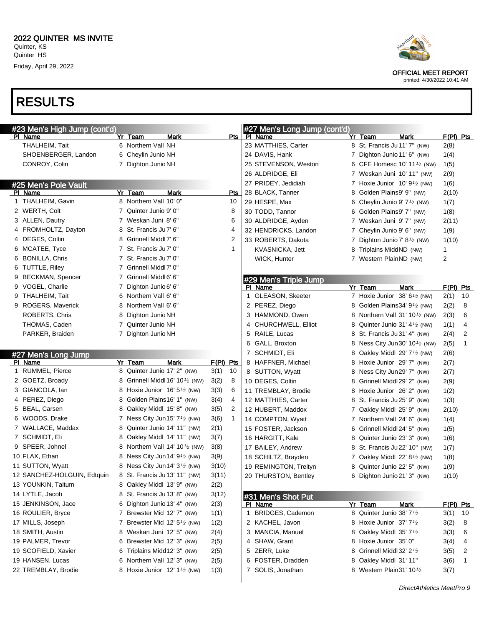Friday, April 29, 2022

# RESULTS

| #23 Men's High Jump (cont'd) |                             |                                                       |           |             |             | #27 Men's Long Jump (cont'd) |    |                                                        |                                                         |             |    |
|------------------------------|-----------------------------|-------------------------------------------------------|-----------|-------------|-------------|------------------------------|----|--------------------------------------------------------|---------------------------------------------------------|-------------|----|
| PI Name                      | Yr Team                     | Mark                                                  |           | Pts         |             | PI Name                      |    | Yr Team                                                | <b>Mark</b>                                             | $F(PI)$ Pts |    |
| THALHEIM, Tait               | 6 Northern Vall NH          |                                                       |           |             |             | 23 MATTHIES, Carter          |    | 8 St. Francis Ju 11' 7" (NW)                           |                                                         | 2(8)        |    |
| SHOENBERGER, Landon          | 6 Cheylin Junio NH          |                                                       |           |             |             | 24 DAVIS, Hank               |    | 7 Dighton Junio 11' 6" (NW)                            |                                                         | 1(4)        |    |
| CONROY, Colin                | 7 Dighton Junio NH          |                                                       |           |             |             | 25 STEVENSON, Weston         |    | 6 CFE Homesc 10' 11 <sup>1</sup> / <sub>2</sub> (NW)   |                                                         | 1(5)        |    |
|                              |                             |                                                       |           |             |             | 26 ALDRIDGE, Eli             |    | 7 Weskan Juni 10'11" (NW)                              |                                                         | 2(9)        |    |
| #25 Men's Pole Vault         |                             |                                                       |           |             |             | 27 PRIDEY, Jedidiah          |    | 7 Hoxie Junior $10'9'$ (NW)                            |                                                         | 1(6)        |    |
| PI Name                      | Yr Team                     | Mark                                                  |           | <b>Pts</b>  |             | 28 BLACK, Tanner             | 8. | Golden Plains9' 9" (NW)                                |                                                         | 2(10)       |    |
| 1 THALHEIM, Gavin            | 8 Northern Vall 10' 0"      |                                                       |           | 10          |             | 29 HESPE, Max                | 6. | Cheylin Junio 9' $7\frac{1}{2}$ (NW)                   |                                                         | 1(7)        |    |
| 2 WERTH, Colt                | 7 Quinter Junio 9' 0"       |                                                       |           | 8           |             | 30 TODD, Tannor              | 6. | Golden Plains9' 7" (NW)                                |                                                         | 1(8)        |    |
| 3 ALLEN, Dautry              | 7 Weskan Juni 8'6"          |                                                       |           | 6           |             | 30 ALDRIDGE, Ayden           |    | 7 Weskan Juni 9'7" (NW)                                |                                                         | 2(11)       |    |
| 4 FROMHOLTZ, Dayton          | 8 St. Francis Ju 7' 6"      |                                                       |           | 4           |             | 32 HENDRICKS, Landon         |    | 7 Cheylin Junio 9' 6" (NW)                             |                                                         | 1(9)        |    |
| 4 DEGES, Coltin              | 8 Grinnell Middl 7' 6"      |                                                       |           | 2           |             | 33 ROBERTS, Dakota           |    | 7 Dighton Junio 7' $8\frac{1}{2}$ (NW)                 |                                                         | 1(10)       |    |
| 6 MCATEE, Tyce               | 7 St. Francis Ju 7' 0"      |                                                       |           | 1           |             | KVASNICKA, Jett              | 8. | Triplains MiddND (NW)                                  |                                                         | 1           |    |
| 6 BONILLA, Chris             | 7 St. Francis Ju 7' 0"      |                                                       |           |             |             | WICK, Hunter                 |    | 7 Western PlainND (NW)                                 |                                                         | 2           |    |
| 6 TUTTLE, Riley              | 7 Grinnell Middl 7' 0"      |                                                       |           |             |             |                              |    |                                                        |                                                         |             |    |
| 9 BECKMAN, Spencer           | 7 Grinnell Middl 6' 6"      |                                                       |           |             |             | #29 Men's Triple Jump        |    |                                                        |                                                         |             |    |
| 9 VOGEL, Charlie             | 7 Dighton Junio 6' 6"       |                                                       |           |             |             | PI Name                      |    | Yr Team                                                | Mark                                                    | $F(PI)$ Pts |    |
| 9 THALHEIM, Tait             | 6 Northern Vall 6' 6"       |                                                       |           |             | $\mathbf 1$ | <b>GLEASON, Skeeter</b>      |    | 7 Hoxie Junior $38'6'$ (NW)                            |                                                         | 2(1)        | 10 |
| 9 ROGERS, Maverick           | 8 Northern Vall 6' 6"       |                                                       |           |             |             | 2 PEREZ, Diego               |    | 8 Golden Plains34' 91/2 (NW)                           |                                                         | 2(2)        | 8  |
| ROBERTS, Chris               | 8 Dighton Junio NH          |                                                       |           |             |             | 3 HAMMOND, Owen              |    |                                                        | 8 Northern Vall 31' 10 <sup><math>1/2</math></sup> (NW) | 2(3)        | 6  |
| THOMAS, Caden                | 7 Quinter Junio NH          |                                                       |           |             |             | 4 CHURCHWELL, Elliot         |    | 8 Quinter Junio 31' 4 <sup>1</sup> / <sub>2</sub> (NW) |                                                         | 1(1)        | 4  |
| PARKER, Braiden              | 7 Dighton Junio NH          |                                                       |           |             |             | 5 RAILE, Lucas               |    | 8 St. Francis Ju 31' 4" (NW)                           |                                                         | 2(4)        | 2  |
|                              |                             |                                                       |           |             |             | 6 GALL, Broxton              |    |                                                        | 8 Ness City Jun 30' 10 <sup>1</sup> / <sub>2</sub> (NW) | 2(5)        | 1  |
| #27 Men's Long Jump          |                             |                                                       |           |             |             | 7 SCHMIDT, Eli               | 8  | Oakley Middl 29' 7 <sup>1</sup> / <sub>2</sub> (NW)    |                                                         | 2(6)        |    |
| <u>PI Name</u>               | Yr Team                     | Mark                                                  | F(PI) Pts |             |             | 8 HAFFNER, Michael           |    | 8 Hoxie Junior 29' 7" (NW)                             |                                                         | 2(7)        |    |
| 1 RUMMEL, Pierce             | 8 Quinter Junio 17' 2" (NW) |                                                       | 3(1)      | -10         |             | 8 SUTTON, Wyatt              |    | 8 Ness City Jun 29' 7" (NW)                            |                                                         | 2(7)        |    |
| 2 GOETZ, Broady              |                             | 8 Grinnell Middl 16' 10 $\frac{1}{2}$ (NW)            | 3(2)      | 8           |             | 10 DEGES, Coltin             | 8  | Grinnell Middl 29' 2" (NW)                             |                                                         | 2(9)        |    |
| 3 GIANCOLA, Ian              |                             | 8 Hoxie Junior $16'5'$ (NW)                           | 3(3)      | 6           |             | 11 TREMBLAY, Brodie          |    | 8 Hoxie Junior 26' 2" (NW)                             |                                                         | 1(2)        |    |
| 4 PEREZ, Diego               |                             | 8 Golden Plains16' 1" (NW)                            | 3(4)      | 4           |             | 12 MATTHIES, Carter          | 8  | St. Francis Ju 25' 9" (NW)                             |                                                         | 1(3)        |    |
| 5 BEAL, Carsen               |                             | 8 Oakley Middl 15' 8" (NW)                            | 3(5)      | 2           |             | 12 HUBERT, Maddox            |    | 7 Oakley Middl 25' 9" (NW)                             |                                                         | 2(10)       |    |
| 6 WOODS, Drake               |                             | 7 Ness City Jun 15' $7\frac{1}{2}$ (NW)               | 3(6)      | $\mathbf 1$ |             | 14 COMPTON, Wyatt            |    | 7 Northern Vall 24' 6" (NW)                            |                                                         | 1(4)        |    |
| 7 WALLACE, Maddax            |                             | 8 Quinter Junio 14' 11" (NW)                          | 2(1)      |             |             | 15 FOSTER, Jackson           |    | Grinnell Middl 24' 5" (NW)                             |                                                         | 1(5)        |    |
| 7 SCHMIDT, Eli               |                             | 8 Oakley Middl 14' 11" (NW)                           | 3(7)      |             |             | 16 HARGITT, Kale             | 8  | Quinter Junio 23' 3" (NW)                              |                                                         | 1(6)        |    |
| 9 SPEER, Johnel              |                             | 8 Northern Vall 14' 10 $\frac{1}{2}$ (NW)             | 3(8)      |             |             | 17 BAILEY, Andrew            | 8  | St. Francis Ju 22' 10" (NW)                            |                                                         | 1(7)        |    |
| 10 FLAX, Ethan               |                             | 8 Ness City Jun 14' $91$ (NW)                         | 3(9)      |             |             | 18 SCHILTZ, Brayden          |    | 7 Oakley Middl 22' $8\frac{1}{2}$ (NW)                 |                                                         | 1(8)        |    |
| 11 SUTTON, Wyatt             |                             | 8 Ness City Jun 14' $3\frac{1}{2}$ (NW)               | 3(10)     |             |             | 19 REMINGTON, Treityn        |    | 8 Quinter Junio 22' 5" (NW)                            |                                                         | 1(9)        |    |
| 12 SANCHEZ-HOLGUIN, Edtquin  |                             | 8 St. Francis Ju 13' 11" (NW)                         | 3(11)     |             |             | 20 THURSTON, Bentley         |    | 6 Dighton Junio 21' 3" (NW)                            |                                                         | 1(10)       |    |
| 13 YOUNKIN, Taitum           |                             | 8 Oakley Middl 13' 9" (NW)                            | 2(2)      |             |             |                              |    |                                                        |                                                         |             |    |
| 14 LYTLE, Jacob              |                             | 8 St. Francis Ju 13' 8" (NW)                          | 3(12)     |             |             | #31 Men's Shot Put           |    |                                                        |                                                         |             |    |
| 15 JENKINSON, Jace           |                             | 6 Dighton Junio 13' 4" (NW)                           | 2(3)      |             |             | PI Name                      |    | Yr Team                                                | <b>Mark</b>                                             | F(PI) Pts   |    |
| 16 ROULIER, Bryce            |                             | 7 Brewster Mid 12' 7" (NW)                            | 1(1)      |             | 1           | BRIDGES, Cademon             |    | 8 Quinter Junio 38' 7 <sup>1</sup> /2                  |                                                         | 3(1)        | 10 |
| 17 MILLS, Joseph             |                             | 7 Brewster Mid 12' $5\frac{1}{2}$ (NW)                | 1(2)      |             |             | 2 KACHEL, Javon              |    | 8 Hoxie Junior $37'7'$                                 |                                                         | 3(2)        | 8  |
| 18 SMITH, Austin             |                             | 8 Weskan Juni 12' 5" (NW)                             | 2(4)      |             |             | 3 MANCIA, Manuel             |    | 8 Oakley Middl 35' 7 $\frac{1}{2}$                     |                                                         | 3(3)        | 6  |
| 19 PALMER, Trevor            |                             | 6 Brewster Mid 12' 3" (NW)                            | 2(5)      |             |             | 4 SHAW, Grant                |    | 8 Hoxie Junior 35' 0"                                  |                                                         | 3(4)        | 4  |
| 19 SCOFIELD, Xavier          |                             | 6 Triplains Midd12' 3" (NW)                           | 2(5)      |             |             | 5 ZERR, Luke                 | 8  | Grinnell Middl 32' $2\frac{1}{2}$                      |                                                         | 3(5)        | 2  |
| 19 HANSEN, Lucas             |                             | 6 Northern Vall 12' 3" (NW)                           | 2(5)      |             |             | 6 FOSTER, Dradden            | 8  | Oakley Middl 31' 11"                                   |                                                         | 3(6)        | 1  |
| 22 TREMBLAY, Brodie          |                             | 8 Hoxie Junior 12' 1 <sup>1</sup> / <sub>2</sub> (NW) | 1(3)      |             |             | 7 SOLIS, Jonathan            | 8. | Western Plain 31' 10 <sup>1</sup> /2                   |                                                         | 3(7)        |    |
|                              |                             |                                                       |           |             |             |                              |    |                                                        |                                                         |             |    |



OFFICIAL MEET REPORT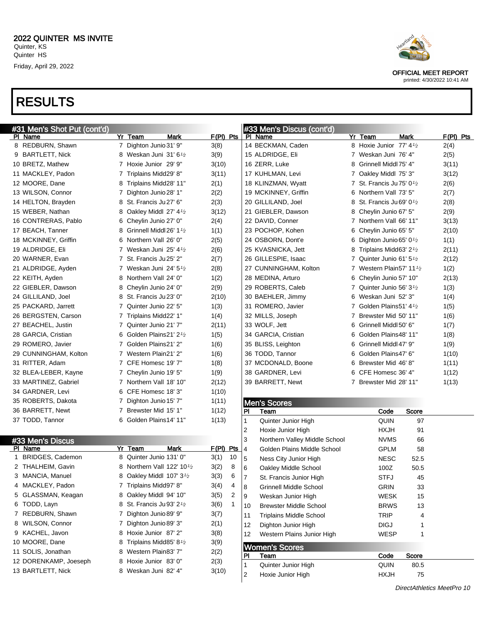

printed: 4/30/2022 10:41 AM

## RESULTS

| #31 Men's Shot Put (cont'd) | #33 Men's Discus (cont'd)                         |             |                                              |                                          |             |           |
|-----------------------------|---------------------------------------------------|-------------|----------------------------------------------|------------------------------------------|-------------|-----------|
| PI Name                     | Yr Team<br>Mark                                   | $F(PI)$ Pts | PI_Name                                      | Yr Team                                  | <b>Mark</b> | F(PI) Pts |
| 8 REDBURN, Shawn            | 7 Dighton Junio 31' 9"                            | 3(8)        | 14 BECKMAN, Caden                            | 8 Hoxie Junior 77' 4 <sup>1</sup> /2     |             | 2(4)      |
| 9 BARTLETT, Nick            | 8 Weskan Juni 31'61/2                             | 3(9)        | 15 ALDRIDGE, Eli                             | 7 Weskan Juni 76' 4"                     |             | 2(5)      |
| 10 BRETZ, Mathew            | 7 Hoxie Junior 29' 9"                             | 3(10)       | 16 ZERR, Luke                                | 8 Grinnell Middl 75' 4"                  |             | 3(11)     |
| 11 MACKLEY, Padon           | 7 Triplains Midd29' 8"                            | 3(11)       | 17 KUHLMAN, Levi                             | 7 Oakley Middl 75' 3"                    |             | 3(12)     |
| 12 MOORE, Dane              | 8 Triplains Midd28' 11"                           | 2(1)        | 18 KLINZMAN, Wyatt                           | 7 St. Francis Ju 75' $0\frac{1}{2}$      |             | 2(6)      |
| 13 WILSON, Connor           | 7 Dighton Junio 28' 1"                            | 2(2)        | 19 MCKINNEY, Griffin                         | 6 Northern Vall 73' 5"                   |             | 2(7)      |
| 14 HELTON, Brayden          | 8 St. Francis Ju 27' 6"                           | 2(3)        | 20 GILLILAND, Joel                           | St. Francis Ju 69' 0 $\frac{1}{2}$<br>8  |             | 2(8)      |
| 15 WEBER, Nathan            | Oakley Middl 27' $4\frac{1}{2}$<br>8              | 3(12)       | 21 GIEBLER, Dawson                           | Cheylin Junio 67' 5"<br>8                |             | 2(9)      |
| 16 CONTRERAS, Pablo         | 6 Cheylin Junio 27' 0"                            | 2(4)        | 22 DAVID, Conner                             | 7 Northern Vall 66' 11"                  |             | 3(13)     |
| 17 BEACH, Tanner            | 8 Grinnell Middl 26' 1 <sup>1</sup> /2            | 1(1)        | 23 POCHOP, Kohen                             | Cheylin Junio 65' 5"<br>6                |             | 2(10)     |
| 18 MCKINNEY, Griffin        | 6 Northern Vall 26' 0"                            | 2(5)        | 24 OSBORN, Dont'e                            | Dighton Junio 65' 0 $\frac{1}{2}$<br>6   |             | 1(1)      |
| 19 ALDRIDGE, Eli            | 7 Weskan Juni 25' 4 $\frac{1}{2}$                 | 2(6)        | 25 KVASNICKA, Jett                           | Triplains Midd63' 2 $\frac{1}{2}$<br>8   |             | 2(11)     |
| 20 WARNER, Evan             | 7 St. Francis Ju 25' 2"                           | 2(7)        | 26 GILLESPIE, Isaac                          | Quinter Junio 61' 5 <sup>1</sup> /2<br>7 |             | 2(12)     |
| 21 ALDRIDGE, Ayden          | 7 Weskan Juni 24' $5\frac{1}{2}$                  | 2(8)        | 27 CUNNINGHAM, Kolton                        | Western Plain57' 11 <sup>1</sup> /2<br>7 |             | 1(2)      |
| 22 KEITH, Ayden             | 8 Northern Vall 24' 0"                            | 1(2)        | 28 MEDINA, Arturo                            | Cheylin Junio 57' 10"<br>6               |             | 2(13)     |
| 22 GIEBLER, Dawson          | 8 Cheylin Junio 24' 0"                            | 2(9)        | 29 ROBERTS, Caleb                            | 7 Quinter Junio 56' $3\frac{1}{2}$       |             | 1(3)      |
| 24 GILLILAND, Joel          | 8 St. Francis Ju 23' 0"                           | 2(10)       | 30 BAEHLER, Jimmy                            | Weskan Juni 52' 3"<br>6                  |             | 1(4)      |
| 25 PACKARD, Jarrett         | 7 Quinter Junio 22' 5"                            | 1(3)        | 31 ROMERO, Javier                            | Golden Plains51' 4 <sup>1</sup> /2<br>7  |             | 1(5)      |
| 26 BERGSTEN, Carson         | 7 Triplains Midd22' 1"                            | 1(4)        | 32 MILLS, Joseph                             | Brewster Mid 50' 11"<br>$\mathbf{7}$     |             | 1(6)      |
| 27 BEACHEL, Justin          | 7 Quinter Junio 21' 7"                            | 2(11)       | 33 WOLF, Jett                                | Grinnell Middl 50' 6"<br>6               |             | 1(7)      |
| 28 GARCIA, Cristian         | 6 Golden Plains21' 2 <sup>1</sup> /2              | 1(5)        | 34 GARCIA, Cristian                          | Golden Plains48' 11"<br>6                |             | 1(8)      |
| 29 ROMERO, Javier           | 7 Golden Plains21' 2"                             | 1(6)        | 35 BLISS, Leighton                           | Grinnell Middl 47' 9"<br>6               |             | 1(9)      |
| 29 CUNNINGHAM, Kolton       | 7 Western Plain21' 2"                             | 1(6)        | 36 TODD, Tannor                              | Golden Plains47' 6"<br>6                 |             | 1(10)     |
| 31 RITTER, Adam             | 7 CFE Homesc 19' 7"                               | 1(8)        | 37 MCDONALD, Boone                           | 6 Brewster Mid 46' 8"                    |             | 1(11)     |
| 32 BLEA-LEBER, Kayne        | 7 Cheylin Junio 19' 5"                            | 1(9)        | 38 GARDNER, Levi                             | 6 CFE Homesc 36' 4"                      |             | 1(12)     |
| 33 MARTINEZ, Gabriel        | 7 Northern Vall 18' 10"                           | 2(12)       | 39 BARRETT, Newt                             | 7 Brewster Mid 28' 11"                   |             | 1(13)     |
| 34 GARDNER, Levi            | 6 CFE Homesc 18' 3"                               | 1(10)       |                                              |                                          |             |           |
| 35 ROBERTS, Dakota          | 7 Dighton Junio 15' 7"                            | 1(11)       | <b>Men's Scores</b>                          |                                          |             |           |
| 36 BARRETT, Newt            | 7 Brewster Mid 15' 1"                             | 1(12)       | PI<br>Team                                   | Code                                     | Score       |           |
| 37 TODD, Tannor             | 6 Golden Plains14' 11"                            | 1(13)       | $\mathbf{1}$<br>Quinter Junior High          | QUIN                                     | 97          |           |
|                             |                                                   |             | $\sqrt{2}$<br>Hoxie Junior High              | <b>HXJH</b>                              | 91          |           |
| #33 Men's Discus            |                                                   |             | $\mathsf 3$<br>Northern Valley Middle School | <b>NVMS</b>                              | 66          |           |
| PI Name                     | Yr Team<br><b>Mark</b>                            | F(PI) Pts   | 4<br>Golden Plains Middle School             | <b>GPLM</b>                              | 58          |           |
| 1 BRIDGES, Cademon          | 8 Quinter Junio 131' 0"                           | 3(1)<br>10  | 5<br>Ness City Junior High                   | <b>NESC</b>                              | 52.5        |           |
| 2 THALHEIM, Gavin           | 8 Northern Vall 122' 10 <sup>1</sup> /2           | 3(2)<br>8   | 6<br>Oakley Middle School                    | 100Z                                     | 50.5        |           |
| 3 MANCIA, Manuel            | 8 Oakley Middl 107' 3 <sup>1</sup> / <sub>2</sub> | 6<br>3(3)   | $\overline{7}$<br>St. Francis Junior High    | STFJ                                     | 45          |           |
| 4 MACKLEY, Padon            | 7 Triplains Midd97' 8"                            | 4<br>3(4)   | 8<br><b>Grinnell Middle School</b>           | <b>GRIN</b>                              | 33          |           |
| 5 GLASSMAN, Keagan          | 8 Oakley Middl 94' 10"                            | 2<br>3(5)   | 9<br>Weskan Junior High                      | <b>WESK</b>                              | 15          |           |
| 6 TODD, Layn                | 8 St. Francis Ju 93' 2 <sup>1</sup> /2            | 3(6)<br>1   | 10<br><b>Brewster Middle School</b>          | <b>BRWS</b>                              | 13          |           |
| 7 REDBURN, Shawn            | 7 Dighton Junio 89' 9"                            | 3(7)        | 11<br>Trinlains Middle School                | TRIP                                     | 4           |           |

- 10 MOORE, Dane  $\begin{array}{ccc} 8 & \text{Triplains Midd85'} & 8 \frac{1}{2} & \text{3(9)} \\ \end{array}$
- 11 SOLIS, Jonathan 8 Western Plain83' 7" 2(2)
- DORENKAMP, Joeseph 8 Hoxie Junior 83' 0" 2(3) 13 BARTLETT, Nick 8 Weskan Juni 82' 4" 3(10)
- 

DirectAthletics MeetPro 10

11 Triplains Middle School **TRIP** 4 12 Dighton Junior High **DIGJ** 1 12 Western Plains Junior High WESP 1

Pl Team Code Score 1 Quinter Junior High CUIN 80.5 2 Hoxie Junior High NXJH 75

Women's Scores